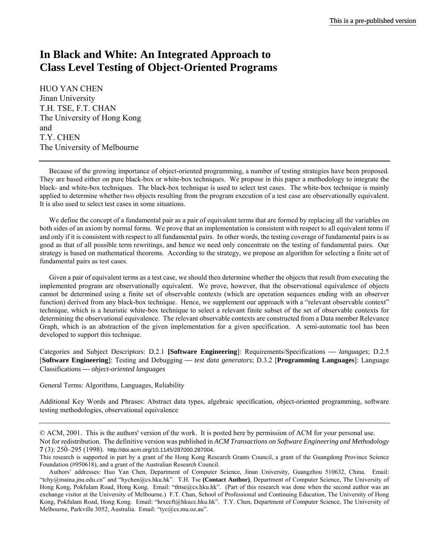# **In Black and White: An Integrated Approach to Class Level Testing of Object-Oriented Programs**

HUO YAN CHEN Jinan University T.H. TSE, F.T. CHAN The University of Hong Kong and T.Y. CHEN The University of Melbourne

Because of the growing importance of object-oriented programming, a number of testing strategies have been proposed. They are based either on pure black-box or white-box techniques. We propose in this paper a methodology to integrate the black- and white-box techniques. The black-box technique is used to select test cases. The white-box technique is mainly applied to determine whether two objects resulting from the program execution of a test case are observationally equivalent. It is also used to select test cases in some situations.

We define the concept of a fundamental pair as a pair of equivalent terms that are formed by replacing all the variables on both sides of an axiom by normal forms. We prove that an implementation is consistent with respect to all equivalent terms if and only if it is consistent with respect to all fundamental pairs. In other words, the testing coverage of fundamental pairs is as good as that of all possible term rewritings, and hence we need only concentrate on the testing of fundamental pairs. Our strategy is based on mathematical theorems. According to the strategy, we propose an algorithm for selecting a finite set of fundamental pairs as test cases.

Given a pair of equivalent terms as a test case, we should then determine whether the objects that result from executing the implemented program are observationally equivalent. We prove, however, that the observational equivalence of objects cannot be determined using a finite set of observable contexts (which are operation sequences ending with an observer function) derived from any black-box technique. Hence, we supplement our approach with a "relevant observable context" technique, which is a heuristic white-box technique to select a relevant finite subset of the set of observable contexts for determining the observational equivalence. The relevant observable contexts are constructed from a Data member Relevance Graph, which is an abstraction of the given implementation for a given specification. A semi-automatic tool has been developed to support this technique.

Categories and Subject Descriptors: D.2.1 [Software Engineering]: Requirements/Specifications — *languages*; D.2.5 [**Software Engineering**]: Testing and Debugging — test data generators; D.3.2 [Programming Languages]: Language Classifications ⎯ *object-oriented languages*

General Terms: Algorithms, Languages, Reliability

Additional Key Words and Phrases: Abstract data types, algebraic specification, object-oriented programming, software testing methodologies, observational equivalence

© ACM, 2001. This is the authors' version of the work. It is posted here by permission of ACM for your personal use. Not for redistribution. The definitive version was published in *ACM Transactions on Software Engineering and Methodology*

**7** (3): 250–295 (1998). http://doi.acm.org/10.1145/287000.287004*.* 

This research is supported in part by a grant of the Hong Kong Research Grants Council, a grant of the Guangdong Province Science Foundation (#950618), and a grant of the Australian Research Council.

Authors' addresses: Huo Yan Chen, Department of Computer Science, Jinan University, Guangzhou 510632, China. Email: "tchy@maina.jnu.edu.cn" and "hychen@cs.hku.hk". T.H. Tse **(Contact Author)**, Department of Computer Science, The University of Hong Kong, Pokfulam Road, Hong Kong. Email: "thtse@cs.hku.hk". (Part of this research was done when the second author was an exchange visitor at the University of Melbourne.) F.T. Chan, School of Professional and Continuing Education, The University of Hong Kong, Pokfulam Road, Hong Kong. Email: "hrxecft@hkucc.hku.hk". T.Y. Chen, Department of Computer Science, The University of Melbourne, Parkville 3052, Australia. Email: "tyc@cs.mu.oz.au".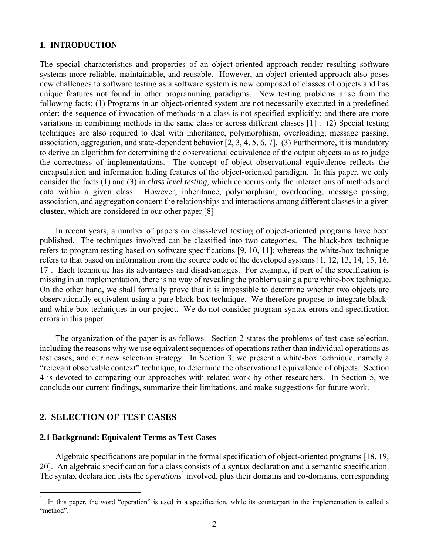#### 1. INTRODUCTION

The special characteristics and properties of an object-oriented approach render resulting software systems more reliable, maintainable, and reusable. However, an object-oriented approach also poses new challenges to software testing as a software system is now composed of classes of objects and has unique features not found in other programming paradigms. New testing problems arise from the following facts: (1) Programs in an object-oriented system are not necessarily executed in a predefined order; the sequence of invocation of methods in a class is not specified explicitly; and there are more variations in combining methods in the same class or across different classes [1]. (2) Special testing techniques are also required to deal with inheritance, polymorphism, overloading, message passing, association, aggregation, and state-dependent behavior  $[2, 3, 4, 5, 6, 7]$ . (3) Furthermore, it is mandatory to derive an algorithm for determining the observational equivalence of the output objects so as to judge the correctness of implementations. The concept of object observational equivalence reflects the encapsulation and information hiding features of the object-oriented paradigm. In this paper, we only consider the facts (1) and (3) in *class level testing*, which concerns only the interactions of methods and data within a given class. However, inheritance, polymorphism, overloading, message passing, association, and aggregation concern the relationships and interactions among different classes in a given **cluster**, which are considered in our other paper [8]

In recent years, a number of papers on class-level testing of object-oriented programs have been published. The techniques involved can be classified into two categories. The black-box technique refers to program testing based on software specifications [9, 10, 11]; whereas the white-box technique refers to that based on information from the source code of the developed systems [1, 12, 13, 14, 15, 16, 17]. Each technique has its advantages and disadvantages. For example, if part of the specification is missing in an implementation, there is no way of revealing the problem using a pure white-box technique. On the other hand, we shall formally prove that it is impossible to determine whether two objects are observationally equivalent using a pure black-box technique. We therefore propose to integrate blackand white-box techniques in our project. We do not consider program syntax errors and specification errors in this paper.

The organization of the paper is as follows. Section 2 states the problems of test case selection, including the reasons why we use equivalent sequences of operations rather than individual operations as test cases, and our new selection strategy. In Section 3, we present a white-box technique, namely a "relevant observable context" technique, to determine the observational equivalence of objects. Section 4 is devoted to comparing our approaches with related work by other researchers. In Section 5, we conclude our current findings, summarize their limitations, and make suggestions for future work.

## 2. SELECTION OF TEST CASES

#### 2.1 Background: Equivalent Terms as Test Cases

Algebraic specifications are popular in the formal specification of object-oriented programs [18, 19, 20]. An algebraic specification for a class consists of a syntax declaration and a semantic specification. The syntax declaration lists the *operations*<sup>1</sup> involved, plus their domains and co-domains, corresponding

In this paper, the word "operation" is used in a specification, while its counterpart in the implementation is called a "method"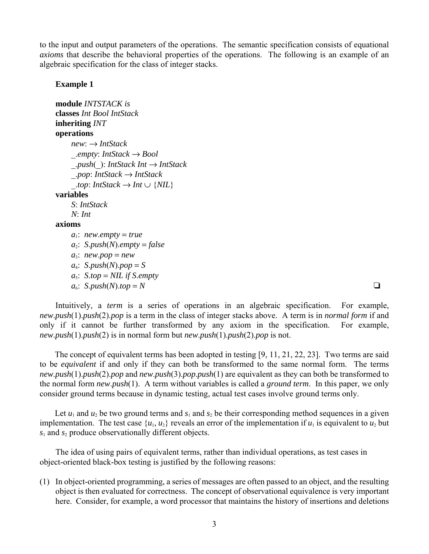to the input and output parameters of the operations. The semantic specification consists of equational *axioms* that describe the behavioral properties of the operations. The following is an example of an algebraic specification for the class of integer stacks.

## **Example 1**

```
module INTSTACK is
classes Int Bool IntStack
inheriting INT
operations
     new: \rightarrow IntStackempty: IntStack \rightarrow Bool
     _.push(_): IntStack Int \rightarrow IntStack
    \_pop: IntStack \rightarrow IntStack
     top: IntStack \rightarrow Int \cup {NIL}
variables
     S: IntStack
     N: Intaxioms
     a_1: new.empty = true
     a_2: S.push(N).empty = false
     a_i: new.pop = new
     a_4: S.push(N).pop = Sa_5: S,top = NIL if S.empty
```
- $a_6$ :  $S.push(N)$ .top = N
- 

 $\Box$ 

Intuitively, a *term* is a series of operations in an algebraic specification. For example. new.push(1).push(2).pop is a term in the class of integer stacks above. A term is in normal form if and only if it cannot be further transformed by any axiom in the specification. For example, *new.push(1).push(2)* is in normal form but *new.push(1).push(2).pop* is not.

The concept of equivalent terms has been adopted in testing [9, 11, 21, 22, 23]. Two terms are said to be *equivalent* if and only if they can both be transformed to the same normal form. The terms  $new.push(1).push(2).pop$  and  $new.push(3).pop.push(1)$  are equivalent as they can both be transformed to the normal form  $new.push(1)$ . A term without variables is called a *ground term*. In this paper, we only consider ground terms because in dynamic testing, actual test cases involve ground terms only.

Let  $u_1$  and  $u_2$  be two ground terms and  $s_1$  and  $s_2$  be their corresponding method sequences in a given implementation. The test case  $\{u_1, u_2\}$  reveals an error of the implementation if  $u_1$  is equivalent to  $u_2$  but  $s_1$  and  $s_2$  produce observationally different objects.

The idea of using pairs of equivalent terms, rather than individual operations, as test cases in object-oriented black-box testing is justified by the following reasons:

(1) In object-oriented programming, a series of messages are often passed to an object, and the resulting object is then evaluated for correctness. The concept of observational equivalence is very important here. Consider, for example, a word processor that maintains the history of insertions and deletions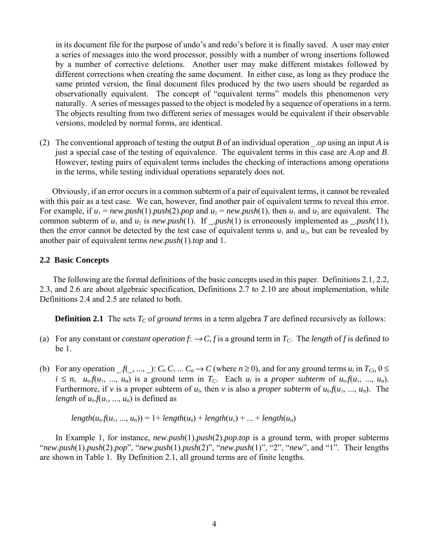in its document file for the purpose of undo's and redo's before it is finally saved. A user may enter a series of messages into the word processor, possibly with a number of wrong insertions followed by a number of corrective deletions. Another user may make different mistakes followed by different corrections when creating the same document. In either case, as long as they produce the same printed version, the final document files produced by the two users should be regarded as observationally equivalent. The concept of "equivalent terms" models this phenomenon very naturally. A series of messages passed to the object is modeled by a sequence of operations in a term. The objects resulting from two different series of messages would be equivalent if their observable versions, modeled by normal forms, are identical.

(2) The conventional approach of testing the output B of an individual operation *op* using an input A is just a special case of the testing of equivalence. The equivalent terms in this case are A.op and B. However, testing pairs of equivalent terms includes the checking of interactions among operations in the terms, while testing individual operations separately does not.

Obviously, if an error occurs in a common subterm of a pair of equivalent terms, it cannot be revealed with this pair as a test case. We can, however, find another pair of equivalent terms to reveal this error. For example, if  $u_1 = new.push(1).push(2).pop$  and  $u_2 = new.push(1)$ , then  $u_1$  and  $u_2$  are equivalent. The common subterm of  $u_1$  and  $u_2$  is new.push(1). If \_push(1) is erroneously implemented as \_push(11), then the error cannot be detected by the test case of equivalent terms  $u_1$  and  $u_2$ , but can be revealed by another pair of equivalent terms *new.push*(1).*top* and 1.

#### 2.2 Basic Concepts

The following are the formal definitions of the basic concepts used in this paper. Definitions 2.1, 2.2, 2.3, and 2.6 are about algebraic specification, Definitions 2.7 to 2.10 are about implementation, while Definitions 2.4 and 2.5 are related to both.

**Definition 2.1** The sets  $T_c$  of *ground terms* in a term algebra T are defined recursively as follows:

- (a) For any constant or *constant operation*  $f: \rightarrow C$ , f is a ground term in  $T_c$ . The *length* of f is defined to be  $1$ .
- (b) For any operation  $f(\ldots, \ldots)$ :  $C_0 C_1 \ldots C_n \rightarrow C$  (where  $n \ge 0$ ), and for any ground terms  $u_i$  in  $T_{Ci}$ ,  $0 \le$  $i \leq n$ ,  $u_0, f(u_1, ..., u_n)$  is a ground term in  $T_c$ . Each  $u_i$  is a proper subterm of  $u_0, f(u_1, ..., u_n)$ . Furthermore, if v is a proper subterm of  $u_i$ , then v is also a *proper subterm* of  $u_0$ ,  $f(u_1, ..., u_n)$ . The length of  $u_0$ ,  $f(u_1, ..., u_n)$  is defined as

$$
length(u_0, f(u_1, ..., u_n)) = 1 + length(u_0) + length(u_1) + ... + length(u_n)
$$

In Example 1, for instance,  $new.push(1).push(2).pop,top$  is a ground term, with proper subterms "new.push(1).push(2).pop", "new.push(1).push(2)", "new.push(1)", "2", "new", and "1". Their lengths are shown in Table 1. By Definition 2.1, all ground terms are of finite lengths.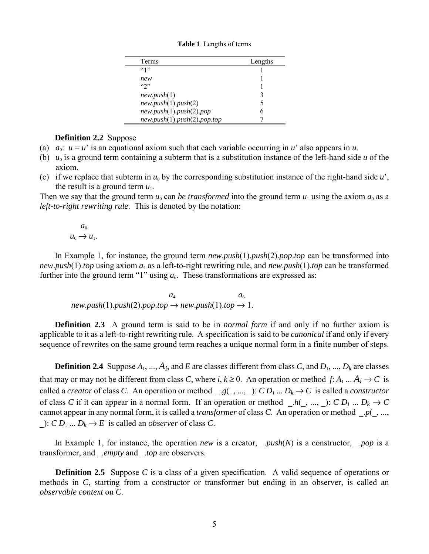#### **Table 1** Lengths of terms

| Terms                       | Lengths |
|-----------------------------|---------|
| $\lq\lq\lq\lq$              |         |
| new                         |         |
| $\mathfrak{so}$             |         |
| new.push(1)                 |         |
| new.push(1).push(2)         | 5       |
| new.push(1).push(2).pop     |         |
| new.push(1).push(2).pop,top |         |

## **Definition 2.2** Suppose

- (a)  $a_0$ :  $u = u'$  is an equational axiom such that each variable occurring in u' also appears in u.
- (b)  $u_0$  is a ground term containing a subterm that is a substitution instance of the left-hand side u of the axiom.
- (c) if we replace that subterm in  $u_0$  by the corresponding substitution instance of the right-hand side  $u^2$ , the result is a ground term  $u_1$ .

Then we say that the ground term  $u_0$  can be transformed into the ground term  $u_1$  using the axiom  $a_0$  as a *left-to-right rewriting rule.* This is denoted by the notation:

$$
a_0
$$
  

$$
u_0 \to u_1
$$

In Example 1, for instance, the ground term  $new.push(1).push(2).pop.top)$  can be transformed into new.push(1).top using axiom  $a_4$  as a left-to-right rewriting rule, and new.push(1).top can be transformed further into the ground term "1" using  $a_6$ . These transformations are expressed as:

 $a_4$  $a<sub>6</sub>$ new.push(1).push(2).pop.top  $\rightarrow$  new.push(1).top  $\rightarrow$  1.

**Definition 2.3** A ground term is said to be in *normal form* if and only if no further axiom is applicable to it as a left-to-right rewriting rule. A specification is said to be *canonical* if and only if every sequence of rewrites on the same ground term reaches a unique normal form in a finite number of steps.

**Definition 2.4** Suppose  $A_1, ..., A_i$ , and E are classes different from class C, and  $D_1, ..., D_k$  are classes that may or may not be different from class C, where i,  $k \ge 0$ . An operation or method  $f: A_1 ... A_i \to C$  is called a *creator* of class C. An operation or method  $g($ , ...,  $)$ : CD<sub>1</sub> ...  $D_k \to C$  is called a *constructor* of class C if it can appear in a normal form. If an operation or method  $\Lambda$   $\Lambda$ ,  $\Lambda$ ,  $\Lambda$ .  $\Gamma$ cannot appear in any normal form, it is called a *transformer* of class C. An operation or method  $\_p(\_,\ldots,$ : C  $D_1 \dots D_k \rightarrow E$  is called an *observer* of class C.

In Example 1, for instance, the operation *new* is a creator, *push(N)* is a constructor, *pop* is a transformer, and *empty* and *top* are observers.

**Definition 2.5** Suppose C is a class of a given specification. A valid sequence of operations or methods in C, starting from a constructor or transformer but ending in an observer, is called an *observable context* on C.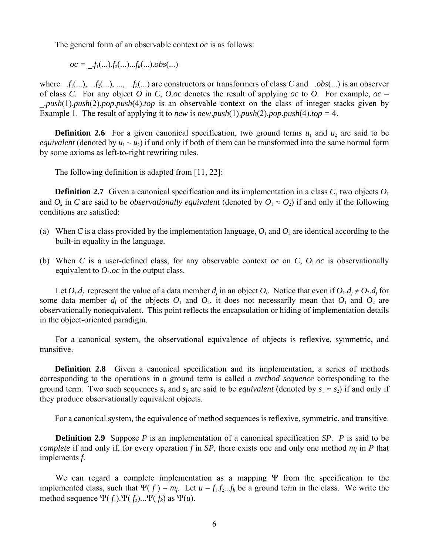The general form of an observable context  $oc$  is as follows:

 $oc = f_1(...) f_2(...)...f_k(...).obs(...)$ 

where  $f_1(...), f_2(...), ..., f_k(...)$  are constructors or transformers of class C and  $[obs(...)$  is an observer of class C. For any object O in C, O.oc denotes the result of applying oc to O. For example,  $oc =$ *push*(1)*push(2)<sub>pop</sub>push(4)<sub>pop</sub> is an observable context on the class of integer stacks given by* Example 1. The result of applying it to *new* is *new.push*(1).*push*(2).*pop.push*(4).*top* = 4.

**Definition 2.6** For a given canonical specification, two ground terms  $u_1$  and  $u_2$  are said to be *equivalent* (denoted by  $u_1 \sim u_2$ ) if and only if both of them can be transformed into the same normal form by some axioms as left-to-right rewriting rules.

The following definition is adapted from  $[11, 22]$ :

**Definition 2.7** Given a canonical specification and its implementation in a class C, two objects  $O_1$ and  $O_2$  in C are said to be *observationally equivalent* (denoted by  $O_1 \approx O_2$ ) if and only if the following conditions are satisfied:

- (a) When C is a class provided by the implementation language,  $O_1$  and  $O_2$  are identical according to the built-in equality in the language.
- (b) When C is a user-defined class, for any observable context oc on C,  $O<sub>1</sub>$  oc is observationally equivalent to  $O<sub>2</sub>$ .oc in the output class.

Let  $O_i.d_i$  represent the value of a data member  $d_i$  in an object  $O_i$ . Notice that even if  $O_1.d_i \neq O_2.d_i$  for some data member  $d_i$  of the objects  $O_1$  and  $O_2$ , it does not necessarily mean that  $O_1$  and  $O_2$  are observationally nonequivalent. This point reflects the encapsulation or hiding of implementation details in the object-oriented paradigm.

For a canonical system, the observational equivalence of objects is reflexive, symmetric, and transitive.

**Definition 2.8** Given a canonical specification and its implementation, a series of methods corresponding to the operations in a ground term is called a *method sequence* corresponding to the ground term. Two such sequences  $s_1$  and  $s_2$  are said to be *equivalent* (denoted by  $s_1 \approx s_2$ ) if and only if they produce observationally equivalent objects.

For a canonical system, the equivalence of method sequences is reflexive, symmetric, and transitive.

**Definition 2.9** Suppose  $P$  is an implementation of a canonical specification  $SP$ .  $P$  is said to be *complete* if and only if, for every operation f in SP, there exists one and only one method  $m_f$  in P that implements f.

We can regard a complete implementation as a mapping  $\Psi$  from the specification to the implemented class, such that  $\Psi(f) = m_f$ . Let  $u = f_1, f_2, \dots, f_k$  be a ground term in the class. We write the method sequence  $\Psi(f_1) \cdot \Psi(f_2) \dots \Psi(f_k)$  as  $\Psi(u)$ .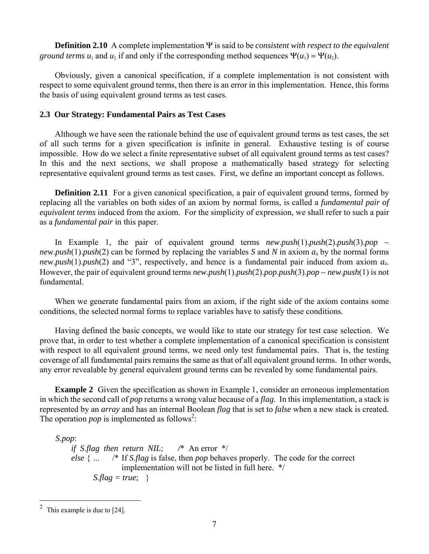**Definition 2.10** A complete implementation  $\Psi$  is said to be *consistent with respect to the equivalent ground terms u<sub>1</sub>* and *u<sub>2</sub>* if and only if the corresponding method sequences  $\Psi(u_1) \approx \Psi(u_2)$ .

Obviously, given a canonical specification, if a complete implementation is not consistent with respect to some equivalent ground terms, then there is an error in this implementation. Hence, this forms the basis of using equivalent ground terms as test cases.

## 2.3 Our Strategy: Fundamental Pairs as Test Cases

Although we have seen the rationale behind the use of equivalent ground terms as test cases, the set of all such terms for a given specification is infinite in general. Exhaustive testing is of course impossible. How do we select a finite representative subset of all equivalent ground terms as test cases? In this and the next sections, we shall propose a mathematically based strategy for selecting representative equivalent ground terms as test cases. First, we define an important concept as follows.

**Definition 2.11** For a given canonical specification, a pair of equivalent ground terms, formed by replacing all the variables on both sides of an axiom by normal forms, is called a *fundamental pair of equivalent terms* induced from the axiom. For the simplicity of expression, we shall refer to such a pair as a *fundamental pair* in this paper.

In Example 1, the pair of equivalent ground terms  $new.push(1).push(2).push(3).pop \sim$ *new.push*(1).*push*(2) can be formed by replacing the variables S and N in axiom  $a_4$  by the normal forms new.push(1).push(2) and "3", respectively, and hence is a fundamental pair induced from axiom  $a_4$ . However, the pair of equivalent ground terms new.push(1).push(2).pop.push(3).pop ~ new.push(1) is not fundamental.

When we generate fundamental pairs from an axiom, if the right side of the axiom contains some conditions, the selected normal forms to replace variables have to satisfy these conditions.

Having defined the basic concepts, we would like to state our strategy for test case selection. We prove that, in order to test whether a complete implementation of a canonical specification is consistent with respect to all equivalent ground terms, we need only test fundamental pairs. That is, the testing coverage of all fundamental pairs remains the same as that of all equivalent ground terms. In other words, any error revealable by general equivalent ground terms can be revealed by some fundamental pairs.

**Example 2** Given the specification as shown in Example 1, consider an erroneous implementation in which the second call of *pop* returns a wrong value because of a *flag*. In this implementation, a stack is represented by an *array* and has an internal Boolean *flag* that is set to *false* when a new stack is created. The operation *pop* is implemented as follows<sup>2</sup>:

 $S.pop$ : if S.flag then return NIL;  $\frac{*}{*}$  An error  $\frac{*}{*}$ *else*  $\{ \dots \neq \text{If } S \text{ and } S \text{ and } S \}$  is false, then *pop* behaves properly. The code for the correct implementation will not be listed in full here. \*/  $S$ *flag* = *true*; }

 $\overline{c}$ This example is due to  $[24]$ .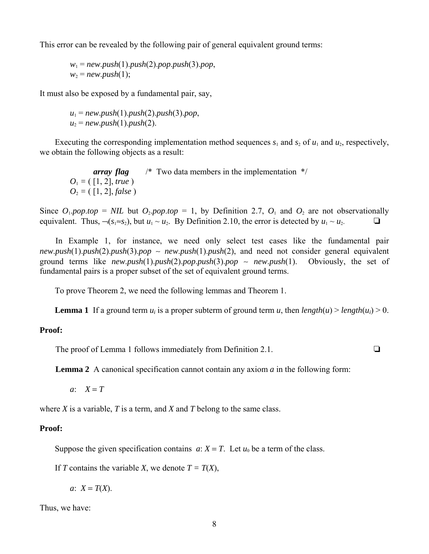This error can be revealed by the following pair of general equivalent ground terms:

$$
w_1 = new.push(1).push(2).pop.push(3).pop,w_2 = new.push(1);
$$

It must also be exposed by a fundamental pair, say,

$$
u_1 = new.push(1).push(2).push(3).pop,u_2 = new.push(1).push(2).
$$

Executing the corresponding implementation method sequences  $s_1$  and  $s_2$  of  $u_1$  and  $u_2$ , respectively, we obtain the following objects as a result:

/\* Two data members in the implementation  $*/$ array flag  $O_1 = (1, 2], true)$  $O_2 = (1, 2)$ , false)

Since  $O_1$ -pop.top = NIL but  $O_2$ -pop.top = 1, by Definition 2.7,  $O_1$  and  $O_2$  are not observationally equivalent. Thus,  $\neg(s_1 \approx s_2)$ , but  $u_1 \sim u_2$ . By Definition 2.10, the error is detected by  $u_1 \sim u_2$ . ❏

In Example 1, for instance, we need only select test cases like the fundamental pair  $new.push(1).push(2).push(3).pop \sim new.push(1).push(2), and need not consider general equivalent$ ground terms like  $new.push(1).push(2).pop.push(3).pop ~ new.push(1).$ Obviously, the set of fundamental pairs is a proper subset of the set of equivalent ground terms.

To prove Theorem 2, we need the following lemmas and Theorem 1.

**Lemma 1** If a ground term  $u_i$  is a proper subterm of ground term u, then  $length(u) > length(u_i) > 0$ .

#### Proof:

The proof of Lemma 1 follows immediately from Definition 2.1.

❏

**Lemma 2** A canonical specification cannot contain any axiom  $a$  in the following form:

 $a: X = T$ 

where  $X$  is a variable,  $T$  is a term, and  $X$  and  $T$  belong to the same class.

## Proof:

Suppose the given specification contains  $a: X = T$ . Let  $u_0$  be a term of the class.

If T contains the variable X, we denote  $T = T(X)$ ,

 $a: X = T(X).$ 

Thus, we have: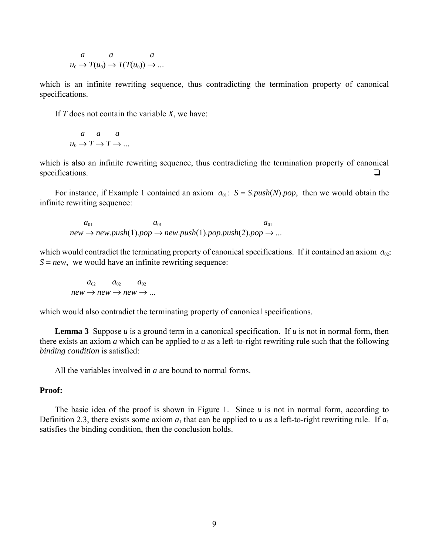$$
a \qquad a \qquad a
$$
  

$$
u_0 \to T(u_0) \to T(T(u_0)) \to \dots
$$

which is an infinite rewriting sequence, thus contradicting the termination property of canonical specifications.

If  $T$  does not contain the variable  $X$ , we have:

$$
a \quad a \quad a
$$

$$
u_0 \to T \to T \to \dots
$$

which is also an infinite rewriting sequence, thus contradicting the termination property of canonical specifications. **□** 

For instance, if Example 1 contained an axiom  $a_{01}$ :  $S = S.push(N)$ . pop, then we would obtain the infinite rewriting sequence:

$$
a_{01}
$$
  $a_{01}$   $a_{01}$   $a_{01}$   $a_{01}$   $a_{01}$   $a_{01}$   $a_{02}$ 

which would contradict the terminating property of canonical specifications. If it contained an axiom  $a_{02}$ .  $S = new$ , we would have an infinite rewriting sequence:

$$
a_{02} \qquad a_{02} \qquad a_{02}
$$
  

$$
new \rightarrow new \rightarrow new \rightarrow ...
$$

which would also contradict the terminating property of canonical specifications.

**Lemma 3** Suppose  $u$  is a ground term in a canonical specification. If  $u$  is not in normal form, then there exists an axiom  $a$  which can be applied to  $u$  as a left-to-right rewriting rule such that the following binding condition is satisfied:

All the variables involved in  $a$  are bound to normal forms.

## Proof:

The basic idea of the proof is shown in Figure 1. Since  $u$  is not in normal form, according to Definition 2.3, there exists some axiom  $a_1$  that can be applied to u as a left-to-right rewriting rule. If  $a_1$ satisfies the binding condition, then the conclusion holds.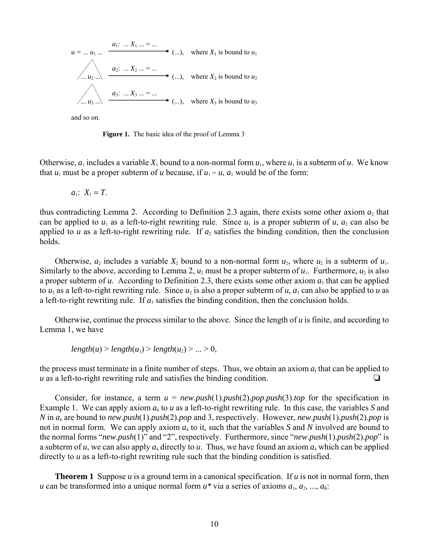

and so on.



Otherwise,  $a_1$  includes a variable  $X_1$  bound to a non-normal form  $u_1$ , where  $u_1$  is a subterm of u. We know that  $u_1$  must be a proper subterm of u because, if  $u_1 = u$ ,  $a_1$  would be of the form:

 $a_1$ :  $X_1 = T$ .

thus contradicting Lemma 2. According to Definition 2.3 again, there exists some other axiom  $a_2$  that can be applied to  $u_1$  as a left-to-right rewriting rule. Since  $u_1$  is a proper subterm of  $u$ ,  $a_2$  can also be applied to u as a left-to-right rewriting rule. If  $a_2$  satisfies the binding condition, then the conclusion holds.

Otherwise,  $a_2$  includes a variable  $X_2$  bound to a non-normal form  $u_2$ , where  $u_2$  is a subterm of  $u_1$ . Similarly to the above, according to Lemma 2,  $u_2$  must be a proper subterm of  $u_1$ . Furthermore,  $u_2$  is also a proper subterm of u. According to Definition 2.3, there exists some other axiom  $a_3$  that can be applied to  $u_2$  as a left-to-right rewriting rule. Since  $u_2$  is also a proper subterm of  $u$ ,  $a_3$  can also be applied to  $u$  as a left-to-right rewriting rule. If  $a_3$  satisfies the binding condition, then the conclusion holds.

Otherwise, continue the process similar to the above. Since the length of  $u$  is finite, and according to Lemma 1, we have

$$
length(u) > length(u_1) > length(u_2) > ... > 0,
$$

the process must terminate in a finite number of steps. Thus, we obtain an axiom  $a_i$  that can be applied to  $u$  as a left-to-right rewriting rule and satisfies the binding condition. **□** 

Consider, for instance, a term  $u = new.push(1) push(2) pop.push(3) top$  for the specification in Example 1. We can apply axiom  $a_6$  to u as a left-to-right rewriting rule. In this case, the variables S and N in  $a_6$  are bound to new.push(1).push(2).pop and 3, respectively. However, new.push(1).push(2).pop is not in normal form. We can apply axiom  $a_4$  to it, such that the variables S and N involved are bound to the normal forms "new.push(1)" and "2", respectively. Furthermore, since "new.push(1).push(2).pop" is a subterm of u, we can also apply  $a_4$  directly to u. Thus, we have found an axiom  $a_4$  which can be applied directly to  $u$  as a left-to-right rewriting rule such that the binding condition is satisfied.

**Theorem 1** Suppose  $u$  is a ground term in a canonical specification. If  $u$  is not in normal form, then u can be transformed into a unique normal form  $u^*$  via a series of axioms  $a_1, a_2, ..., a_k$ .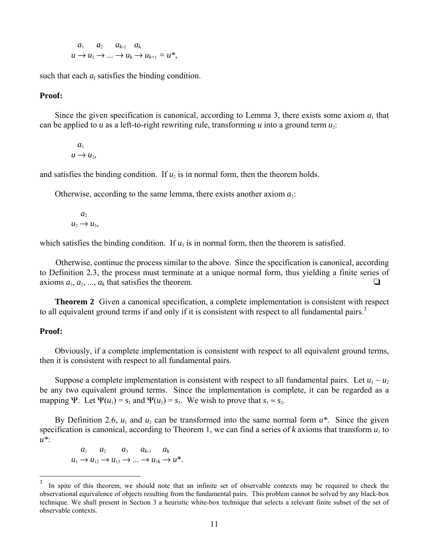$$
a_1 \quad a_2 \quad a_{k-1} \quad a_k
$$
  

$$
u \rightarrow u_2 \rightarrow \dots \rightarrow u_k \rightarrow u_{k+1} = u^*,
$$

such that each  $a_i$  satisfies the binding condition.

#### Proof:

Since the given specification is canonical, according to Lemma 3, there exists some axiom  $a_1$  that can be applied to u as a left-to-right rewriting rule, transforming u into a ground term  $u$ .

 $a<sub>1</sub>$  $u \rightarrow u_2$ 

and satisfies the binding condition. If  $u_2$  is in normal form, then the theorem holds.

Otherwise, according to the same lemma, there exists another axiom  $a_2$ .

$$
a_2
$$
  

$$
u_2 \rightarrow u_3,
$$

which satisfies the binding condition. If  $u_3$  is in normal form, then the theorem is satisfied.

Otherwise, continue the process similar to the above. Since the specification is canonical, according to Definition 2.3, the process must terminate at a unique normal form, thus yielding a finite series of axioms  $a_1, a_2, ..., a_k$  that satisfies the theorem.  $\Box$ 

**Theorem 2** Given a canonical specification, a complete implementation is consistent with respect to all equivalent ground terms if and only if it is consistent with respect to all fundamental pairs.<sup>3</sup>

#### Proof:

Obviously, if a complete implementation is consistent with respect to all equivalent ground terms, then it is consistent with respect to all fundamental pairs.

Suppose a complete implementation is consistent with respect to all fundamental pairs. Let  $u_1 \sim u_2$ be any two equivalent ground terms. Since the implementation is complete, it can be regarded as a mapping  $\Psi$ . Let  $\Psi(u_1) = s_1$  and  $\Psi(u_2) = s_2$ . We wish to prove that  $s_1 \approx s_2$ .

By Definition 2.6,  $u_1$  and  $u_2$  can be transformed into the same normal form  $u^*$ . Since the given specification is canonical, according to Theorem 1, we can find a series of  $k$  axioms that transform  $u_1$  to  $u^*$ :

 $a_1 \quad a_2 \quad a_3 \quad a_{k-1} \quad a_k$  $u_1 \rightarrow u_1$ ,  $\rightarrow u_1$ ,  $\rightarrow \ldots \rightarrow u_{1k} \rightarrow u^*$ .

<sup>3</sup> In spite of this theorem, we should note that an infinite set of observable contexts may be required to check the observational equivalence of objects resulting from the fundamental pairs. This problem cannot be solved by any black-box technique. We shall present in Section 3 a heuristic white-box technique that selects a relevant finite subset of the set of observable contexts.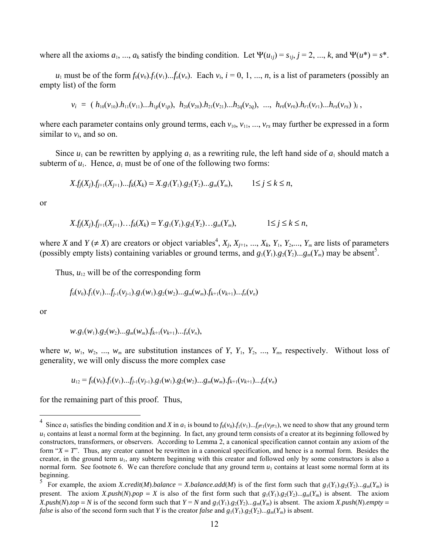where all the axioms  $a_1, ..., a_k$  satisfy the binding condition. Let  $\Psi(u_{1i}) = s_{1i}, j = 2, ..., k$ , and  $\Psi(u^*) = s^*$ .

 $u_1$  must be of the form  $f_0(v_0)$ ,  $f_1(v_1)$ ...,  $f_n(v_n)$ . Each  $v_i$ ,  $i = 0, 1, ..., n$ , is a list of parameters (possibly an empty list) of the form

$$
v_i = (h_{10}(v_{10}).h_{11}(v_{11})....h_{1p}(v_{1p}), h_{20}(v_{20}).h_{21}(v_{21})....h_{2q}(v_{2q}), ..., h_{r0}(v_{r0}).h_{r1}(v_{r1})....h_{rs}(v_{rs}))_i,
$$

where each parameter contains only ground terms, each  $v_{10}$ ,  $v_{11}$ , ...,  $v_{rs}$  may further be expressed in a form similar to  $v_i$ , and so on.

Since  $u_1$  can be rewritten by applying  $a_1$  as a rewriting rule, the left hand side of  $a_1$  should match a subterm of  $u_1$ . Hence,  $a_1$  must be of one of the following two forms:

$$
X.f_j(X_j) . f_{j+1}(X_{j+1}) . . . f_k(X_k) = X.g_1(Y_1). g_2(Y_2) . . . g_m(Y_m), \qquad 1 \le j \le k \le n,
$$

 $\overline{or}$ 

$$
X.f_i(X_i).f_{i+1}(X_{i+1})...f_k(X_k) = Y.g_1(Y_1).g_2(Y_2)...g_m(Y_m), \qquad 1 \leq j \leq k \leq n,
$$

where X and  $Y$  ( $\neq$  X) are creators or object variables<sup>4</sup>,  $X_j$ ,  $X_{j+1}$ , ...,  $X_k$ ,  $Y_1$ ,  $Y_2$ , ...,  $Y_m$  are lists of parameters (possibly empty lists) containing variables or ground terms, and  $g_1(Y_1) \cdot g_2(Y_2) \cdot \cdot \cdot g_m(Y_m)$  may be absent<sup>5</sup>.

Thus,  $u_{12}$  will be of the corresponding form

$$
f_0(v_0) f_1(v_1) \dots f_{j-1}(v_{j-1}) g_1(w_1) g_2(w_2) \dots g_m(w_m) f_{k+1}(v_{k+1}) \dots f_n(v_n)
$$

or

$$
W.g1(W1) . g2(W2) ... gm(Wm) . fk+1(vk+1) ... fn(vn),
$$

where w, w<sub>1</sub>, w<sub>2</sub>, ..., w<sub>m</sub> are substitution instances of Y, Y<sub>1</sub>, Y<sub>2</sub>, ..., Y<sub>m</sub>, respectively. Without loss of generality, we will only discuss the more complex case

$$
u_{12} = f_0(v_0) f_1(v_1) \dots f_{j-1}(v_{j-1}) g_1(w_1) g_2(w_2) \dots g_m(w_m) f_{k+1}(v_{k+1}) \dots f_n(v_n)
$$

for the remaining part of this proof. Thus,

<sup>&</sup>lt;sup>4</sup> Since  $a_1$  satisfies the binding condition and X in  $a_1$  is bound to  $f_0(v_0)$ ,  $f_1(v_1)$ .  $f_{j \notin I}(v_{j \notin I})$ , we need to show that any ground term  $u_1$  contains at least a normal form at the beginning. In fact, any ground term consists of a creator at its beginning followed by constructors, transformers, or observers. According to Lemma 2, a canonical specification cannot contain any axiom of the form " $X = T$ ". Thus, any creator cannot be rewritten in a canonical specification, and hence is a normal form. Besides the creator, in the ground term  $u_1$ , any subterm beginning with this creator and followed only by some constructors is also a normal form. See footnote 6. We can therefore conclude that any ground term  $u_1$  contains at least some normal form at its beginning.

 $5<sub>5</sub>$ For example, the axiom *X.credit(M).balance* = *X.balance.add(M)* is of the first form such that  $g_1(Y_1) \cdot g_2(Y_2) \dots g_m(Y_m)$  is present. The axiom X.push(N).pop = X is also of the first form such that  $g_1(Y_1).g_2(Y_2)...g_m(Y_m)$  is absent. The axiom  $X.push(N) \text{.top} = N$  is of the second form such that  $Y = N$  and  $g_1(Y_1), g_2(Y_2), \ldots, g_m(Y_m)$  is absent. The axiom  $X.push(N) \text{.empty} = N$ *false* is also of the second form such that Y is the creator *false* and  $g_1(Y_1), g_2(Y_2), \ldots, g_m(Y_m)$  is absent.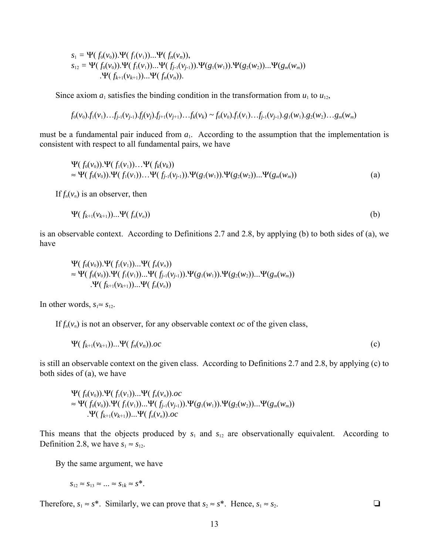$s_1 = \Psi(f_0(v_0)). \Psi(f_1(v_1)) ... \Psi(f_n(v_n)),$  $s_{12} = \Psi(f_0(v_0)).\Psi(f_1(v_1))...\Psi(f_{j-1}(v_{j-1})).\Psi(g_1(w_1)).\Psi(g_2(w_2))...\Psi(g_m(w_m))$  $\mathcal{H}(f_{k+1}(v_{k+1}))\ldots \mathcal{H}(f_n(v_n)).$ 

Since axiom  $a_1$  satisfies the binding condition in the transformation from  $u_1$  to  $u_{12}$ ,

$$
f_0(v_0) f_1(v_1) \dots f_{j-1}(v_{j-1}) f_j(v_j) f_{j+1}(v_{j+1}) \dots f_k(v_k) \sim f_0(v_0) f_1(v_1) \dots f_{j-1}(v_{j-1}) g_1(w_1) g_2(w_2) \dots g_m(w_m)
$$

must be a fundamental pair induced from  $a_1$ . According to the assumption that the implementation is consistent with respect to all fundamental pairs, we have

$$
\Psi(f_0(v_0)).\Psi(f_1(v_1))...\Psi(f_k(v_k))\approx \Psi(f_0(v_0)).\Psi(f_1(v_1))...\Psi(f_{j-1}(v_{j-1})).\Psi(g_1(w_1)).\Psi(g_2(w_2))...\Psi(g_m(w_m))
$$
\n(a)

If  $f_n(v_n)$  is an observer, then

$$
\Psi(f_{k+1}(v_{k+1}))...\Psi(f_n(v_n))
$$
 (b)

is an observable context. According to Definitions 2.7 and 2.8, by applying (b) to both sides of (a), we have

$$
\Psi(f_0(v_0)).\Psi(f_1(v_1))...\Psi(f_n(v_n))\approx \Psi(f_0(v_0)).\Psi(f_1(v_1))...\Psi(f_{j-1}(v_{j-1})).\Psi(g_1(w_1)).\Psi(g_2(w_2))...\Psi(g_m(w_m))\cdot \Psi(f_{k+1}(v_{k+1}))....\Psi(f_n(v_n))
$$

In other words,  $s_1 \approx s_1$ .

If  $f_n(v_n)$  is not an observer, for any observable context *oc* of the given class,

$$
\Psi(f_{k+1}(v_{k+1}))\ldots\Psi(f_n(v_n))\ldots
$$

is still an observable context on the given class. According to Definitions 2.7 and 2.8, by applying (c) to both sides of (a), we have

$$
\Psi(f_0(v_0)).\Psi(f_1(v_1))...\Psi(f_n(v_n)).\circ c \approx \Psi(f_0(v_0)).\Psi(f_1(v_1))...\Psi(f_{j-1}(v_{j-1})).\Psi(g_1(w_1)).\Psi(g_2(w_2))...\Psi(g_m(w_m)) \Psi(f_{k+1}(v_{k+1}))...\Psi(f_n(v_n)).\circ c
$$

This means that the objects produced by  $s_1$  and  $s_{12}$  are observationally equivalent. According to Definition 2.8, we have  $s_1 \approx s_{12}$ .

By the same argument, we have

$$
S_{12} \approx S_{13} \approx \ldots \approx S_{1k} \approx S^*.
$$

Therefore,  $s_1 \approx s^*$ . Similarly, we can prove that  $s_2 \approx s^*$ . Hence,  $s_1 \approx s_2$ .

 $\Box$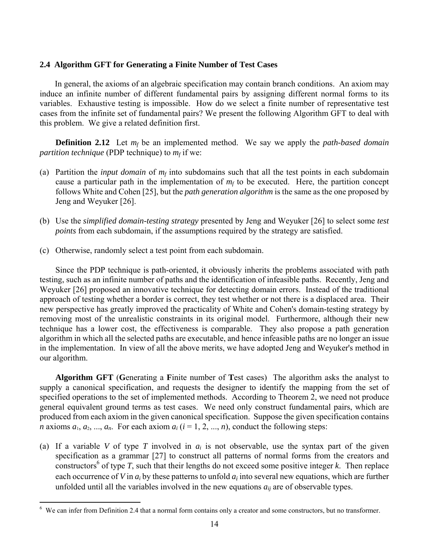## 2.4 Algorithm GFT for Generating a Finite Number of Test Cases

In general, the axioms of an algebraic specification may contain branch conditions. An axiom may induce an infinite number of different fundamental pairs by assigning different normal forms to its variables. Exhaustive testing is impossible. How do we select a finite number of representative test cases from the infinite set of fundamental pairs? We present the following Algorithm GFT to deal with this problem. We give a related definition first.

**Definition 2.12** Let  $m_f$  be an implemented method. We say we apply the *path-based domain partition technique* (PDP technique) to  $m_f$  if we:

- (a) Partition the *input domain* of  $m_f$  into subdomains such that all the test points in each subdomain cause a particular path in the implementation of  $m_f$  to be executed. Here, the partition concept follows White and Cohen [25], but the *path generation algorithm* is the same as the one proposed by Jeng and Weyuker [26].
- (b) Use the *simplified domain-testing strategy* presented by Jeng and Weyuker [26] to select some *test points* from each subdomain, if the assumptions required by the strategy are satisfied.
- (c) Otherwise, randomly select a test point from each subdomain.

Since the PDP technique is path-oriented, it obviously inherits the problems associated with path testing, such as an infinite number of paths and the identification of infeasible paths. Recently, Jeng and Weyuker [26] proposed an innovative technique for detecting domain errors. Instead of the traditional approach of testing whether a border is correct, they test whether or not there is a displaced area. Their new perspective has greatly improved the practicality of White and Cohen's domain-testing strategy by removing most of the unrealistic constraints in its original model. Furthermore, although their new technique has a lower cost, the effectiveness is comparable. They also propose a path generation algorithm in which all the selected paths are executable, and hence infeasible paths are no longer an issue in the implementation. In view of all the above merits, we have adopted Jeng and Weyuker's method in our algorithm.

Algorithm GFT (Generating a Finite number of Test cases) The algorithm asks the analyst to supply a canonical specification, and requests the designer to identify the mapping from the set of specified operations to the set of implemented methods. According to Theorem 2, we need not produce general equivalent ground terms as test cases. We need only construct fundamental pairs, which are produced from each axiom in the given canonical specification. Suppose the given specification contains *n* axioms  $a_1, a_2, ..., a_n$ . For each axiom  $a_i$  ( $i = 1, 2, ..., n$ ), conduct the following steps:

(a) If a variable V of type T involved in  $a_i$  is not observable, use the syntax part of the given specification as a grammar [27] to construct all patterns of normal forms from the creators and constructors<sup>6</sup> of type T, such that their lengths do not exceed some positive integer k. Then replace each occurrence of V in  $a_i$  by these patterns to unfold  $a_i$  into several new equations, which are further unfolded until all the variables involved in the new equations  $a_{ii}$  are of observable types.

 $6\,$  We can infer from Definition 2.4 that a normal form contains only a creator and some constructors, but no transformer.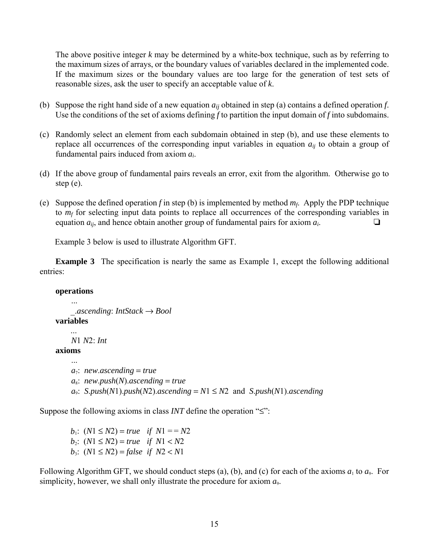The above positive integer  $k$  may be determined by a white-box technique, such as by referring to the maximum sizes of arrays, or the boundary values of variables declared in the implemented code. If the maximum sizes or the boundary values are too large for the generation of test sets of reasonable sizes, ask the user to specify an acceptable value of  $k$ .

- (b) Suppose the right hand side of a new equation  $a_{ii}$  obtained in step (a) contains a defined operation f. Use the conditions of the set of axioms defining f to partition the input domain of f into subdomains.
- (c) Randomly select an element from each subdomain obtained in step (b), and use these elements to replace all occurrences of the corresponding input variables in equation  $a_{ii}$  to obtain a group of fundamental pairs induced from axiom  $a_i$ .
- (d) If the above group of fundamental pairs reveals an error, exit from the algorithm. Otherwise go to step  $(e)$ .
- (e) Suppose the defined operation f in step (b) is implemented by method  $m_f$ . Apply the PDP technique to  $m_f$  for selecting input data points to replace all occurrences of the corresponding variables in equation  $a_{ij}$ , and hence obtain another group of fundamental pairs for axiom  $a_i$ . ❏

Example 3 below is used to illustrate Algorithm GFT.

**Example 3** The specification is nearly the same as Example 1, except the following additional entries:

#### operations

```
.ascending: IntStack \rightarrow Bool
variables
```
 $N1 N2 \cdot Int$ 

## axioms

 $a_7$ : new ascending = true  $a_s$ : new.push(N).ascending = true  $a_9$ : S.push(N1).push(N2).ascending = N1  $\leq$  N2 and S.push(N1).ascending

Suppose the following axioms in class *INT* define the operation " $\le$ ":

 $b_1$ :  $(N1 \leq N2) = true$  if  $N1 == N2$ *b*<sub>2</sub>:  $(N1 \leq N2) = true$  *if*  $N1 < N2$  $b_3$ :  $(N1 \leq N2) = false$  if  $N2 < N1$ 

Following Algorithm GFT, we should conduct steps (a), (b), and (c) for each of the axioms  $a_1$  to  $a_9$ . For simplicity, however, we shall only illustrate the procedure for axiom  $a_0$ .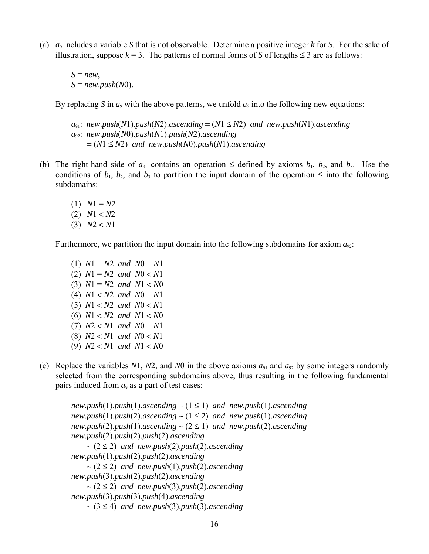(a)  $a_2$  includes a variable S that is not observable. Determine a positive integer k for S. For the sake of illustration, suppose  $k = 3$ . The patterns of normal forms of S of lengths  $\leq 3$  are as follows:

 $S = new$ .  $S = new.push(N0)$ .

By replacing S in  $a_9$  with the above patterns, we unfold  $a_9$  into the following new equations:

 $a_{91}$ : new.push(N1).push(N2).ascending = (N1  $\leq$  N2) and new.push(N1).ascending  $a_{92}$ : new.push(N0).push(N1).push(N2).ascending  $=(N1 \leq N2)$  and new.push(N0).push(N1).ascending

- (b) The right-hand side of  $a_{91}$  contains an operation  $\leq$  defined by axioms  $b_1$ ,  $b_2$ , and  $b_3$ . Use the conditions of  $b_1$ ,  $b_2$ , and  $b_3$  to partition the input domain of the operation  $\leq$  into the following subdomains:
	- $(1)$   $N1 = N2$
	- $(2)$   $N1 < N2$
	- $(3)$   $N2 < N1$

Furthermore, we partition the input domain into the following subdomains for axiom  $a_{2}$ .

(1)  $N1 = N2$  and  $N0 = N1$ (2)  $N1 = N2$  and  $N0 < N1$ (3)  $N1 = N2$  and  $N1 < N0$ (4)  $N1 < N2$  and  $N0 = N1$ (5)  $N1 < N2$  and  $N0 < N1$ (6)  $N1 < N2$  and  $N1 < N0$ (7)  $N2 < N1$  and  $N0 = N1$ (8)  $N2 < N1$  and  $N0 < N1$ (9)  $N2 < N1$  and  $N1 < N0$ 

(c) Replace the variables N1, N2, and N0 in the above axioms  $a_{91}$  and  $a_{92}$  by some integers randomly selected from the corresponding subdomains above, thus resulting in the following fundamental pairs induced from  $a_9$  as a part of test cases:

new.push(1).push(1).ascending  $\sim$  (1  $\leq$  1) and new.push(1).ascending new.push(1).push(2).ascending  $\sim$  (1  $\leq$  2) and new.push(1).ascending new.push(2).push(1).ascending  $\sim$  (2  $\leq$  1) and new.push(2).ascending  $new.push(2).push(2).push(2).ascending$  $\sim$  (2  $\leq$  2) and new.push(2).push(2).ascending  $new.push(1).push(2).push(2). ascending$  $\sim$  (2  $\leq$  2) and new.push(1).push(2).ascending  $new.push(3).push(2).push(2).ascending$  $\sim$  (2  $\leq$  2) and new.push(3).push(2).ascending  $new.push(3).push(3).push(4). ascending$  $\sim$  (3  $\leq$  4) and new.push(3).push(3).ascending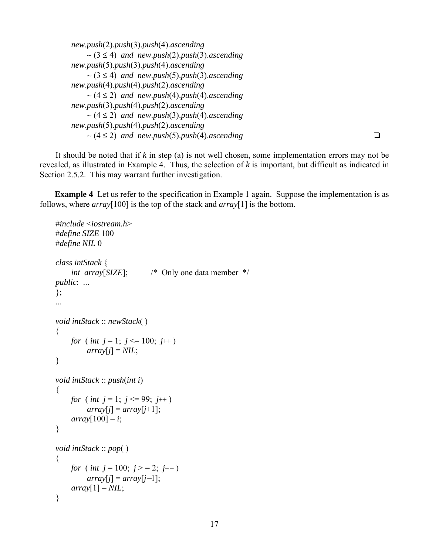$new.push(2).push(3).push(4). ascending$  $\sim$  (3  $\leq$  4) and new.push(2).push(3).ascending  $new.push(5).push(3).push(4) . ascending$  $\sim$  (3  $\leq$  4) and new.push(5).push(3).ascending  $new.push(4).push(4) . push(2) . ascending$  $\sim$  (4  $\leq$  2) and new.push(4).push(4).ascending  $new.push(3) . push(4) . push(2) . ascending$  $\sim$  (4  $\leq$  2) and new.push(3).push(4).ascending  $new.push(5) . push(4) . push(2) . ascending$  $\sim$  (4  $\leq$  2) and new.push(5).push(4).ascending  $\Box$ 

It should be noted that if  $k$  in step (a) is not well chosen, some implementation errors may not be revealed, as illustrated in Example 4. Thus, the selection of  $k$  is important, but difficult as indicated in Section 2.5.2. This may warrant further investigation.

**Example 4** Let us refer to the specification in Example 1 again. Suppose the implementation is as follows, where  $array[100]$  is the top of the stack and  $array[1]$  is the bottom.

```
\#include <iostream.h>
#define SIZE 100
#define NIL 0
class intStack {
                          /* Only one data member */int \; array[SIZE];public: ...\};
\ddotscvoid intStack :: newStack()
    for (int j = 1; j <= 100; j++)
         arrav[i] = NIL;\left\{ \right.void intStack:: push(int i)
₹
    for (int j = 1; j <= 99; j++)
         arrav[i] = arrav[i+1];array[100]=i;}
void intStack :: pop()\{for (int j = 100; j > 2; j = -1)
         arrav[i] = arrav[i-1];
    array[1] = NIL;\left\{ \right.
```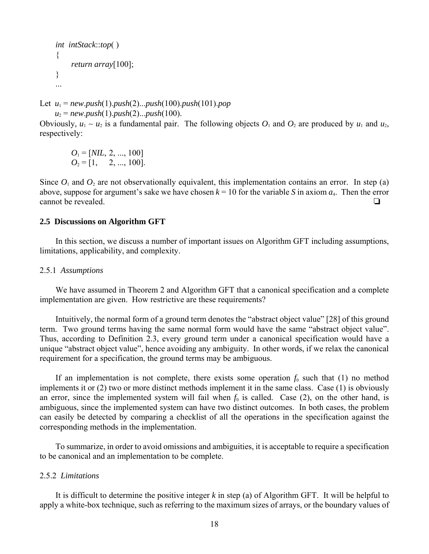```
int intStack::top()
\{return array[100];
}
\ddotsc
```
Let  $u_1 = new.push(1).push(2) ... push(100) push(101).pop$ 

 $u_2 = new.push(1) . push(2) ... push(100).$ 

Obviously,  $u_1 \sim u_2$  is a fundamental pair. The following objects  $O_1$  and  $O_2$  are produced by  $u_1$  and  $u_2$ , respectively:

 $O_1 = [NIL, 2, ..., 100]$  $Q_2 = [1, 2, ..., 100].$ 

Since  $O_1$  and  $O_2$  are not observationally equivalent, this implementation contains an error. In step (a) above, suppose for argument's sake we have chosen  $k = 10$  for the variable S in axiom  $a_4$ . Then the error cannot be revealed  $\Box$ 

## 2.5 Discussions on Algorithm GFT

In this section, we discuss a number of important issues on Algorithm GFT including assumptions, limitations, applicability, and complexity.

#### 2.5.1 Assumptions

We have assumed in Theorem 2 and Algorithm GFT that a canonical specification and a complete implementation are given. How restrictive are these requirements?

Intuitively, the normal form of a ground term denotes the "abstract object value" [28] of this ground term. Two ground terms having the same normal form would have the same "abstract object value". Thus, according to Definition 2.3, every ground term under a canonical specification would have a unique "abstract object value", hence avoiding any ambiguity. In other words, if we relax the canonical requirement for a specification, the ground terms may be ambiguous.

If an implementation is not complete, there exists some operation  $f_0$  such that (1) no method implements it or  $(2)$  two or more distinct methods implement it in the same class. Case  $(1)$  is obviously an error, since the implemented system will fail when  $f_0$  is called. Case (2), on the other hand, is ambiguous, since the implemented system can have two distinct outcomes. In both cases, the problem can easily be detected by comparing a checklist of all the operations in the specification against the corresponding methods in the implementation.

To summarize, in order to avoid omissions and ambiguities, it is acceptable to require a specification to be canonical and an implementation to be complete.

#### 2.5.2 Limitations

It is difficult to determine the positive integer  $k$  in step (a) of Algorithm GFT. It will be helpful to apply a white-box technique, such as referring to the maximum sizes of arrays, or the boundary values of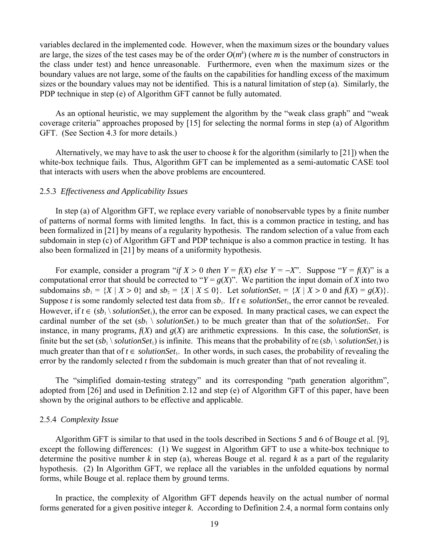variables declared in the implemented code. However, when the maximum sizes or the boundary values are large, the sizes of the test cases may be of the order  $O(m<sup>k</sup>)$  (where m is the number of constructors in the class under test) and hence unreasonable. Furthermore, even when the maximum sizes or the boundary values are not large, some of the faults on the capabilities for handling excess of the maximum sizes or the boundary values may not be identified. This is a natural limitation of step (a). Similarly, the PDP technique in step (e) of Algorithm GFT cannot be fully automated.

As an optional heuristic, we may supplement the algorithm by the "weak class graph" and "weak" coverage criteria" approaches proposed by [15] for selecting the normal forms in step (a) of Algorithm GFT. (See Section 4.3 for more details.)

Alternatively, we may have to ask the user to choose k for the algorithm (similarly to [21]) when the white-box technique fails. Thus, Algorithm GFT can be implemented as a semi-automatic CASE tool that interacts with users when the above problems are encountered.

#### 2.5.3 Effectiveness and Applicability Issues

In step (a) of Algorithm GFT, we replace every variable of nonobservable types by a finite number of patterns of normal forms with limited lengths. In fact, this is a common practice in testing, and has been formalized in [21] by means of a regularity hypothesis. The random selection of a value from each subdomain in step (c) of Algorithm GFT and PDP technique is also a common practice in testing. It has also been formalized in [21] by means of a uniformity hypothesis.

For example, consider a program "if  $X > 0$  then  $Y = f(X)$  else  $Y = -X$ ". Suppose " $Y = f(X)$ " is a computational error that should be corrected to " $Y = g(X)$ ". We partition the input domain of X into two subdomains  $sb_1 = \{X \mid X > 0\}$  and  $sb_2 = \{X \mid X \le 0\}$ . Let solutionSet<sub>1</sub> =  $\{X \mid X > 0 \text{ and } f(X) = g(X)\}$ . Suppose t is some randomly selected test data from  $sb_1$ . If  $t \in$  solutionSet<sub>1</sub>, the error cannot be revealed. However, if  $t \in (sb_1 \setminus solutionSet_1)$ , the error can be exposed. In many practical cases, we can expect the cardinal number of the set  $(sb_1 \text{ } solutionSet_1)$  to be much greater than that of the *solutionSet*<sub>1</sub>. For instance, in many programs,  $f(X)$  and  $g(X)$  are arithmetic expressions. In this case, the *solutionSet*<sup>1</sup> is finite but the set  $(sb_1 \setminus solutionSet_1)$  is infinite. This means that the probability of  $t \in (sb_1 \setminus solutionSet_1)$  is much greater than that of  $t \in$  *solutionSet*<sub>1</sub>. In other words, in such cases, the probability of revealing the error by the randomly selected  $t$  from the subdomain is much greater than that of not revealing it.

The "simplified domain-testing strategy" and its corresponding "path generation algorithm", adopted from [26] and used in Definition 2.12 and step (e) of Algorithm GFT of this paper, have been shown by the original authors to be effective and applicable.

#### 2.5.4 Complexity Issue

Algorithm GFT is similar to that used in the tools described in Sections 5 and 6 of Bouge et al. [9]. except the following differences: (1) We suggest in Algorithm GFT to use a white-box technique to determine the positive number k in step (a), whereas Bouge et al. regard k as a part of the regularity hypothesis. (2) In Algorithm GFT, we replace all the variables in the unfolded equations by normal forms, while Bouge et al. replace them by ground terms.

In practice, the complexity of Algorithm GFT depends heavily on the actual number of normal forms generated for a given positive integer  $k$ . According to Definition 2.4, a normal form contains only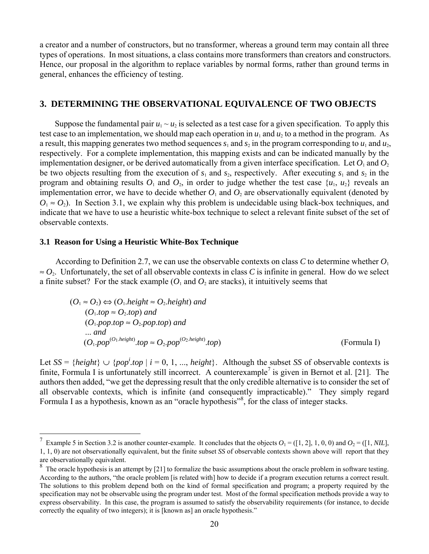a creator and a number of constructors, but no transformer, whereas a ground term may contain all three types of operations. In most situations, a class contains more transformers than creators and constructors. Hence, our proposal in the algorithm to replace variables by normal forms, rather than ground terms in general, enhances the efficiency of testing.

## 3. DETERMINING THE OBSERVATIONAL EQUIVALENCE OF TWO OBJECTS

Suppose the fundamental pair  $u_1 \sim u_2$  is selected as a test case for a given specification. To apply this test case to an implementation, we should map each operation in  $u_1$  and  $u_2$  to a method in the program. As a result, this mapping generates two method sequences  $s_1$  and  $s_2$  in the program corresponding to  $u_1$  and  $u_2$ , respectively. For a complete implementation, this mapping exists and can be indicated manually by the implementation designer, or be derived automatically from a given interface specification. Let  $O_1$  and  $O_2$ be two objects resulting from the execution of  $s_1$  and  $s_2$ , respectively. After executing  $s_1$  and  $s_2$  in the program and obtaining results  $O_1$  and  $O_2$ , in order to judge whether the test case  $\{u_1, u_2\}$  reveals an implementation error, we have to decide whether  $O_1$  and  $O_2$  are observationally equivalent (denoted by  $O_1 \approx O_2$ ). In Section 3.1, we explain why this problem is undecidable using black-box techniques, and indicate that we have to use a heuristic white-box technique to select a relevant finite subset of the set of observable contexts.

#### 3.1 Reason for Using a Heuristic White-Box Technique

According to Definition 2.7, we can use the observable contexts on class C to determine whether  $O_1$  $\approx O_2$ . Unfortunately, the set of all observable contexts in class C is infinite in general. How do we select a finite subset? For the stack example  $(O_1$  and  $O_2$  are stacks), it intuitively seems that

$$
(O_1 \approx O_2) \Leftrightarrow (O_1 \cdot height \approx O_2 \cdot height) \text{ and}
$$
  
\n
$$
(O_1 \cdot top \approx O_2 \cdot top) \text{ and}
$$
  
\n
$$
(O_1 \cdot pop \cdot top \approx O_2 \cdot pop \cdot top) \text{ and}
$$
  
\n
$$
(O_1 \cdot pop^{(O_1 \cdot height)} \cdot top \approx O_2 \cdot pop^{(O_2 \cdot height)} \cdot top)
$$
  
\n(Formula I)

Let  $SS = \{height\} \cup \{pop^i-top \mid i = 0, 1, ..., height\}$ . Although the subset SS of observable contexts is finite, Formula I is unfortunately still incorrect. A counterexample<sup>7</sup> is given in Bernot et al. [21]. The authors then added, "we get the depressing result that the only credible alternative is to consider the set of all observable contexts, which is infinite (and consequently impracticable)." They simply regard Formula I as a hypothesis, known as an "oracle hypothesis"<sup>8</sup>, for the class of integer stacks.

Example 5 in Section 3.2 is another counter-example. It concludes that the objects  $O_1 = (\lceil 1, 2 \rceil, 1, 0, 0)$  and  $O_2 = (\lceil 1, NIL \rceil, 1, NIL)$ 1, 1, 0) are not observationally equivalent, but the finite subset SS of observable contexts shown above will report that they are observationally equivalent.

The oracle hypothesis is an attempt by [21] to formalize the basic assumptions about the oracle problem in software testing. According to the authors, "the oracle problem [is related with] how to decide if a program execution returns a correct result. The solutions to this problem depend both on the kind of formal specification and program; a property required by the specification may not be observable using the program under test. Most of the formal specification methods provide a way to express observability. In this case, the program is assumed to satisfy the observability requirements (for instance, to decide correctly the equality of two integers); it is [known as] an oracle hypothesis."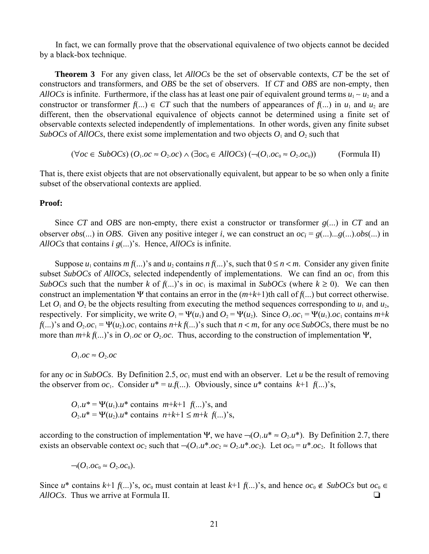In fact, we can formally prove that the observational equivalence of two objects cannot be decided by a black-box technique.

**Theorem 3** For any given class, let *AllOCs* be the set of observable contexts, CT be the set of constructors and transformers, and OBS be the set of observers. If CT and OBS are non-empty, then AllOCs is infinite. Furthermore, if the class has at least one pair of equivalent ground terms  $u_1 \sim u_2$  and a constructor or transformer  $f(x) \in CT$  such that the numbers of appearances of  $f(x)$  in  $u_1$  and  $u_2$  are different, then the observational equivalence of objects cannot be determined using a finite set of observable contexts selected independently of implementations. In other words, given any finite subset SubOCs of AllOCs, there exist some implementation and two objects  $O_1$  and  $O_2$  such that

$$
(\forall oc \in SubOCs) (O_1.oc \approx O_2.oc) \land (\exists oc_0 \in AllOCs) (\neg (O_1.oc_0 \approx O_2.oc_0))
$$
 (Formula II)

That is, there exist objects that are not observationally equivalent, but appear to be so when only a finite subset of the observational contexts are applied.

#### Proof:

Since CT and OBS are non-empty, there exist a constructor or transformer  $g(...)$  in CT and an observer *obs*(...) in *OBS*. Given any positive integer *i*, we can construct an  $oc_i = g(...)...g(...)obs(...)$  in AllOCs that contains  $i g(...)$ 's. Hence, AllOCs is infinite.

Suppose  $u_1$  contains  $m f$ ...)'s and  $u_2$  contains  $n f$ ...)'s, such that  $0 \le n \le m$ . Consider any given finite subset SubOCs of AllOCs, selected independently of implementations. We can find an  $oc<sub>1</sub>$  from this SubOCs such that the number k of f(...)'s in  $oc_1$  is maximal in SubOCs (where  $k \ge 0$ ). We can then construct an implementation  $\Psi$  that contains an error in the  $(m+k+1)$ th call of  $f$ ...) but correct otherwise. Let  $O_1$  and  $O_2$  be the objects resulting from executing the method sequences corresponding to  $u_1$  and  $u_2$ , respectively. For simplicity, we write  $O_1 = \Psi(u_1)$  and  $O_2 = \Psi(u_2)$ . Since  $O_1 \cdot oc_1 = \Psi(u_1) \cdot oc_1$  contains  $m+k$  $f(...)$ 's and  $Q_2$ . $oc_1 = \Psi(u_2)$ . $oc_1$  contains  $n+k$   $f(...)$ 's such that  $n < m$ , for any  $occ \text{SubOCs}$ , there must be no more than  $m+k$  f(...)'s in  $O_1$  oc or  $O_2$  oc. Thus, according to the construction of implementation  $\Psi$ .

$$
O_1.oc \approx O_2.oc
$$

for any oc in SubOCs. By Definition 2.5, oc, must end with an observer. Let u be the result of removing the observer from  $oc_1$ . Consider  $u^* = u \cdot f$ ...). Obviously, since  $u^*$  contains  $k+1$   $f$ ...)'s,

$$
O_1.u^* = \Psi(u_1).u^* \text{ contains } m+k+1 \ f(...)'s, \text{ and}
$$
  

$$
O_2.u^* = \Psi(u_2).u^* \text{ contains } n+k+1 \le m+k \ f(...)'s.
$$

according to the construction of implementation  $\Psi$ , we have  $\neg (O_1.u^* \approx O_2.u^*)$ . By Definition 2.7, there exists an observable context  $oc_2$  such that  $\neg (O_1.u^*.oc_2 \approx O_2.u^*.oc_2)$ . Let  $oc_0 = u^*.oc_2$ . It follows that

$$
\neg (O_1.oc_0 \approx O_2.oc_0)
$$

Since  $u^*$  contains  $k+1$   $f(...)$ 's,  $oc_0$  must contain at least  $k+1$   $f(...)$ 's, and hence  $oc_0 \notin SubOCs$  but  $oc_0 \in$  $A\ddot{u}O\dot{C}s$ . Thus we arrive at Formula II. **□**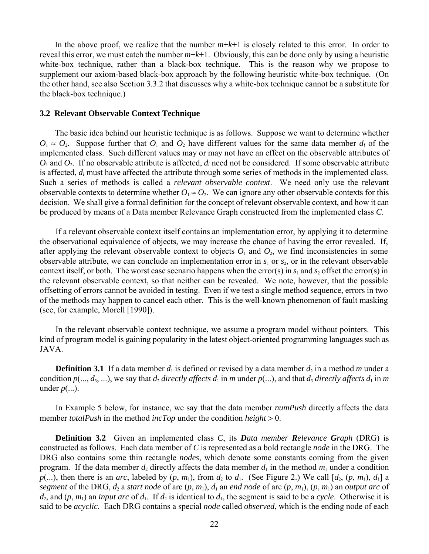In the above proof, we realize that the number  $m+k+1$  is closely related to this error. In order to reveal this error, we must catch the number  $m+k+1$ . Obviously, this can be done only by using a heuristic white-box technique, rather than a black-box technique. This is the reason why we propose to supplement our axiom-based black-box approach by the following heuristic white-box technique. (On the other hand, see also Section 3.3.2 that discusses why a white-box technique cannot be a substitute for the black-box technique.)

#### 3.2 Relevant Observable Context Technique

The basic idea behind our heuristic technique is as follows. Suppose we want to determine whether  $O_1 \approx O_2$ . Suppose further that  $O_1$  and  $O_2$  have different values for the same data member  $d_i$  of the implemented class. Such different values may or may not have an effect on the observable attributes of  $O_1$  and  $O_2$ . If no observable attribute is affected,  $d_i$  need not be considered. If some observable attribute is affected,  $d_i$  must have affected the attribute through some series of methods in the implemented class. Such a series of methods is called a *relevant observable context*. We need only use the relevant observable contexts to determine whether  $O_1 \approx O_2$ . We can ignore any other observable contexts for this decision. We shall give a formal definition for the concept of relevant observable context, and how it can be produced by means of a Data member Relevance Graph constructed from the implemented class C.

If a relevant observable context itself contains an implementation error, by applying it to determine the observational equivalence of objects, we may increase the chance of having the error revealed. If, after applying the relevant observable context to objects  $O_1$  and  $O_2$ , we find inconsistencies in some observable attribute, we can conclude an implementation error in  $s_1$  or  $s_2$ , or in the relevant observable context itself, or both. The worst case scenario happens when the error(s) in  $s_1$  and  $s_2$  offset the error(s) in the relevant observable context, so that neither can be revealed. We note, however, that the possible offsetting of errors cannot be avoided in testing. Even if we test a single method sequence, errors in two of the methods may happen to cancel each other. This is the well-known phenomenon of fault masking (see, for example, Morell [1990]).

In the relevant observable context technique, we assume a program model without pointers. This kind of program model is gaining popularity in the latest object-oriented programming languages such as JAVA.

**Definition 3.1** If a data member  $d_1$  is defined or revised by a data member  $d_2$  in a method m under a condition  $p(..., d_3, ...)$ , we say that  $d_2$  directly affects  $d_1$  in m under  $p(...)$ , and that  $d_3$  directly affects  $d_1$  in m under  $p(...)$ .

In Example 5 below, for instance, we say that the data member *numPush* directly affects the data member *totalPush* in the method *incTop* under the condition *height* > 0.

**Definition 3.2** Given an implemented class C, its Data member Relevance Graph (DRG) is constructed as follows. Each data member of C is represented as a bold rectangle *node* in the DRG. The DRG also contains some thin rectangle *nodes*, which denote some constants coming from the given program. If the data member  $d_2$  directly affects the data member  $d_1$  in the method  $m_1$  under a condition  $p(...)$ , then there is an *arc*, labeled by  $(p, m_1)$ , from  $d_2$  to  $d_1$ . (See Figure 2.) We call  $[d_2, (p, m_1), d_1]$  a segment of the DRG,  $d_2$  a start node of arc  $(p, m_1)$ ,  $d_1$  an end node of arc  $(p, m_1)$ ,  $(p, m_1)$  an output arc of  $d_2$ , and  $(p, m_1)$  an *input arc* of  $d_1$ . If  $d_2$  is identical to  $d_1$ , the segment is said to be a *cycle*. Otherwise it is said to be *acyclic*. Each DRG contains a special *node* called *observed*, which is the ending node of each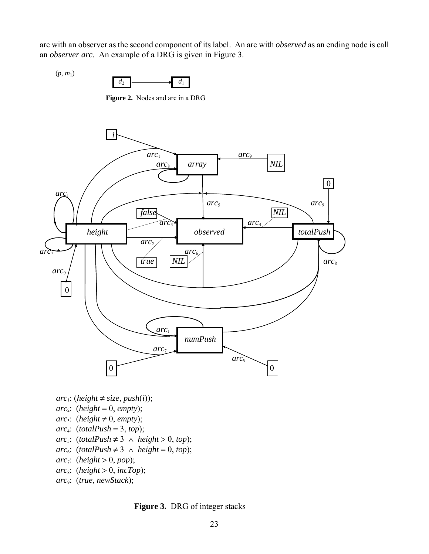arc with an observer as the second component of its label. An arc with *observed* as an ending node is call an *observer arc*. An example of a DRG is given in Figure 3.





Figure 2. Nodes and arc in a DRG



- $arc_1$ : (height  $\neq$  size, push(i));
- $arc_2$ : (height = 0, empty);
- arc<sub>3</sub>: (height  $\neq$  0, empty);
- $arc_4$ : (totalPush = 3, top);
- arc<sub>5</sub>: (totalPush  $\neq$  3  $\land$  height > 0, top);
- $arc_6$ : (totalPush  $\neq 3 \land height = 0, top$ );
- $arc_7$ : (height > 0, pop);
- $arc_8$ : (height > 0, incTop);
- arc<sub>9</sub>: (true, newStack);

Figure 3. DRG of integer stacks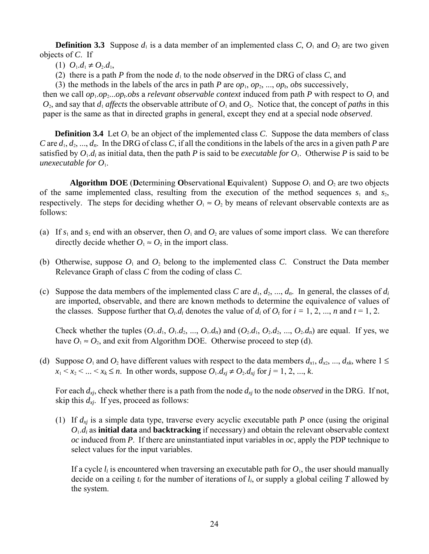**Definition 3.3** Suppose  $d_1$  is a data member of an implemented class C,  $O_1$  and  $O_2$  are two given objects of  $C$ . If

- (1)  $O_1.d_1 \neq O_2.d_1$ ,
- (2) there is a path P from the node  $d_1$  to the node *observed* in the DRG of class C, and

(3) the methods in the labels of the arcs in path P are  $op_1, op_2, ..., op_t, obs$  successively,

then we call  $op_1. op_2...op_t. obs$  a relevant observable context induced from path P with respect to  $O_1$  and  $O_2$ , and say that  $d_1$  affects the observable attribute of  $O_1$  and  $O_2$ . Notice that, the concept of paths in this paper is the same as that in directed graphs in general, except they end at a special node *observed*.

**Definition 3.4** Let  $O_1$  be an object of the implemented class C. Suppose the data members of class C are  $d_1, d_2, ..., d_n$ . In the DRG of class C, if all the conditions in the labels of the arcs in a given path P are satisfied by  $O_1$ .  $d_i$  as initial data, then the path P is said to be *executable for*  $O_1$ . Otherwise P is said to be unexecutable for  $O_1$ .

**Algorithm DOE** (Determining Observational Equivalent) Suppose  $O_1$  and  $O_2$  are two objects of the same implemented class, resulting from the execution of the method sequences  $s_1$  and  $s_2$ , respectively. The steps for deciding whether  $O_1 \approx O_2$  by means of relevant observable contexts are as follows:

- (a) If  $s_1$  and  $s_2$  end with an observer, then  $O_1$  and  $O_2$  are values of some import class. We can therefore directly decide whether  $O_1 \approx O_2$  in the import class.
- (b) Otherwise, suppose  $O_1$  and  $O_2$  belong to the implemented class C. Construct the Data member Relevance Graph of class  $C$  from the coding of class  $C$ .
- (c) Suppose the data members of the implemented class C are  $d_1, d_2, ..., d_n$ . In general, the classes of  $d_i$ are imported, observable, and there are known methods to determine the equivalence of values of the classes. Suppose further that  $O_t.d_i$  denotes the value of  $d_i$  of  $O_t$  for  $i = 1, 2, ..., n$  and  $t = 1, 2$ .

Check whether the tuples  $(O_1,d_1, O_1,d_2, ..., O_1,d_n)$  and  $(O_2,d_1, O_2,d_2, ..., O_2,d_n)$  are equal. If yes, we have  $O_1 \approx O_2$ , and exit from Algorithm DOE. Otherwise proceed to step (d).

(d) Suppose  $O_1$  and  $O_2$  have different values with respect to the data members  $d_{x1}, d_{x2}, ..., d_{xk}$ , where  $1 \leq$  $x_1 < x_2 < ... < x_k \le n$ . In other words, suppose  $O_1.d_{xj} \ne O_2.d_{xj}$  for  $j = 1, 2, ..., k$ .

For each  $d_{xi}$ , check whether there is a path from the node  $d_{xi}$  to the node *observed* in the DRG. If not, skip this  $d_{xi}$ . If yes, proceed as follows:

(1) If  $d_{xj}$  is a simple data type, traverse every acyclic executable path P once (using the original  $O_1$ . $d_i$  as **initial data** and **backtracking** if necessary) and obtain the relevant observable context oc induced from P. If there are uninstantiated input variables in  $oc$ , apply the PDP technique to select values for the input variables.

If a cycle  $l_i$  is encountered when traversing an executable path for  $O_1$ , the user should manually decide on a ceiling  $t_i$  for the number of iterations of  $l_i$ , or supply a global ceiling T allowed by the system.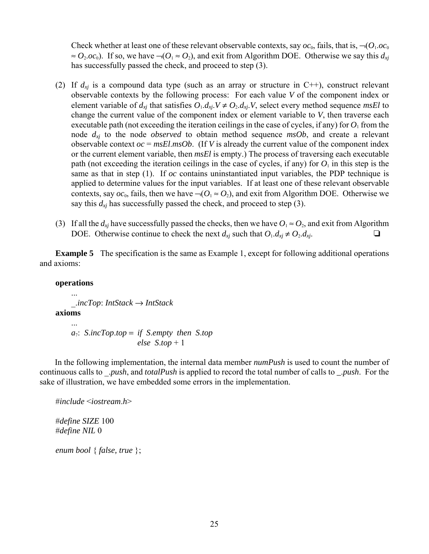Check whether at least one of these relevant observable contexts, say  $oc_0$ , fails, that is,  $\neg (O_1 \cdot oc_0)$  $\approx O_2 \cdot 0$ . If so, we have  $\neg (O_1 \approx O_2)$ , and exit from Algorithm DOE. Otherwise we say this  $d_{xi}$ has successfully passed the check, and proceed to step (3).

- (2) If  $d_{xi}$  is a compound data type (such as an array or structure in C++), construct relevant observable contexts by the following process: For each value  $V$  of the component index or element variable of  $d_{xj}$  that satisfies  $O_1.d_{xj}$ .  $V \neq O_2.d_{xj}$ . V, select every method sequence msEl to change the current value of the component index or element variable to V, then traverse each executable path (not exceeding the iteration ceilings in the case of cycles, if any) for  $O_1$  from the node  $d_{xj}$  to the node *observed* to obtain method sequence  $msOb$ , and create a relevant observable context  $oc = msEl.msOb$ . (If V is already the current value of the component index or the current element variable, then *msEl* is empty.) The process of traversing each executable path (not exceeding the iteration ceilings in the case of cycles, if any) for  $O_1$  in this step is the same as that in step  $(1)$ . If oc contains uninstantiated input variables, the PDP technique is applied to determine values for the input variables. If at least one of these relevant observable contexts, say  $oc_0$ , fails, then we have  $\neg (O_1 \approx O_2)$ , and exit from Algorithm DOE. Otherwise we say this  $d_{xi}$  has successfully passed the check, and proceed to step (3).
- (3) If all the  $d_{xi}$  have successfully passed the checks, then we have  $O_1 \approx O_2$ , and exit from Algorithm DOE. Otherwise continue to check the next  $d_{xi}$  such that  $O_1.d_{xi} \neq O_2.d_{xi}$ . ❏

**Example 5** The specification is the same as Example 1, except for following additional operations and axioms:

#### operations

\_.incTop: IntStack  $\rightarrow$  IntStack axioms  $a_7$ : S.incTop.top = if S.empty then S.top else  $S.top + 1$ 

In the following implementation, the internal data member *numPush* is used to count the number of continuous calls to *push*, and *totalPush* is applied to record the total number of calls to *push*. For the sake of illustration, we have embedded some errors in the implementation.

 $\#include$   $\leq$  iostream h>

#define SIZE 100 #define NIL 0

enum bool  $\{ false, true \};$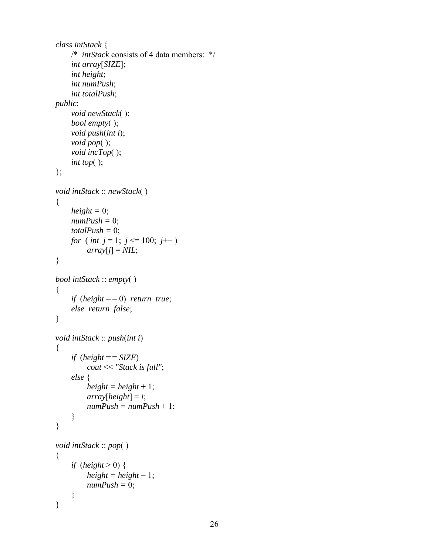```
class intStack {
     /* intStack consists of 4 data members: */
     int array[SIZE];int height;
     int numPush;
     int totalPush;
public:
     void newStack();
     bool empty();
     void push(int i);
     void pop();
     void incTop( );
     int top();
\};void intStack :: newStack()
\{height = 0;numPush = 0;totalPush = 0;
    for (int j = 1; j <= 100; j++)
          array[j] = NIL;\}bool intStack: empty()\mathcal{L}_{\mathcal{L}}if (height == 0) return true;
     else return false;
\}void intStack :: push(int i)
\left\{ \right.if (height == SIZE)\textit{cout} \ll \text{``Stack is full''};elseheight = height + 1;array[height] = i;numPush = numPush + 1;\}\}void intStack :: pop()\{if (height > 0) {
          height = height - 1;numPush = 0;
     \}\left\{ \right.
```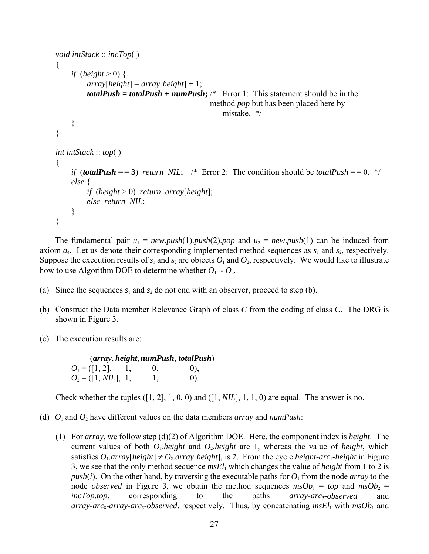```
void intStack :: incTop()
\{if (height > 0) {
         array[height] = array[height] + 1;totalPush = totalPush + numPush: /* Error 1: This statement should be in the
                                               method pop but has been placed here by
                                                   mistake. */∤
\mathcal{E}int intStack :: top()
\left\{ \right.if (totalPush == 3) return NIL; /* Error 2: The condition should be totalPush == 0. */
    elseif (height > 0) return array[height];
         else return NIL;
    \}\}
```
The fundamental pair  $u_1 = new.push(1).push(2).pop$  and  $u_2 = new.push(1)$  can be induced from axiom  $a_4$ . Let us denote their corresponding implemented method sequences as  $s_1$  and  $s_2$ , respectively. Suppose the execution results of  $s_1$  and  $s_2$  are objects  $O_1$  and  $O_2$ , respectively. We would like to illustrate how to use Algorithm DOE to determine whether  $O_1 \approx O_2$ .

- (a) Since the sequences  $s_1$  and  $s_2$  do not end with an observer, proceed to step (b).
- (b) Construct the Data member Relevance Graph of class  $C$  from the coding of class  $C$ . The DRG is shown in Figure 3.
- (c) The execution results are:

 $(\textit{array}, \textit{height}, \textit{numPush}, \textit{totalPush})$  $O_1 = ([1, 2], \quad 1,$  $\overline{0}$ ,  $(0)$ ,  $Q_2 = ([1, NIL], 1,$ 1.  $(0)$ .

Check whether the tuples  $(1, 2, 1, 0, 0)$  and  $(1, *NIL*], 1, 1, 0)$  are equal. The answer is no.

- (d)  $O_1$  and  $O_2$  have different values on the data members *array* and *numPush*:
	- (1) For array, we follow step (d)(2) of Algorithm DOE. Here, the component index is *height*. The current values of both  $O_1$ , height and  $O_2$ , height are 1, whereas the value of height, which satisfies  $O_1$  *array*[height]  $\neq O_2$  *array*[height], is 2. From the cycle height-arc<sub>1</sub>-height in Figure 3, we see that the only method sequence  $msEl_1$  which changes the value of *height* from 1 to 2 is *push(i)*. On the other hand, by traversing the executable paths for  $O_1$  from the node *array* to the node *observed* in Figure 3, we obtain the method sequences  $msOb_1 = top$  and  $msOb_2 =$  $incTop,top$ . corresponding to the paths  $array-arc<sub>5</sub>-observed$ and array-arc<sub>8</sub>-array-arc<sub>5</sub>-observed, respectively. Thus, by concatenating  $msEl_1$  with  $msOb_1$  and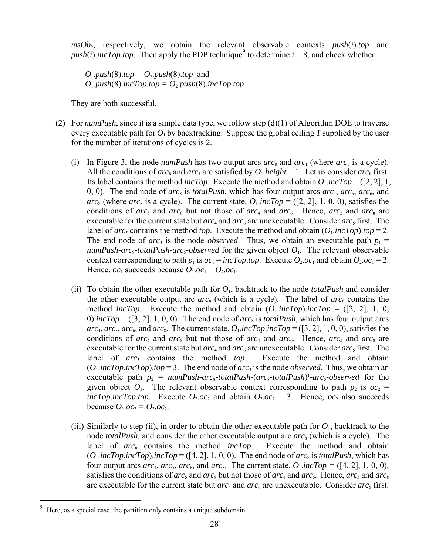$msOb_2$ , respectively, we obtain the relevant observable contexts  $push(i).top$  and *push(i).incTop.top.* Then apply the PDP technique<sup>9</sup> to determine  $i = 8$ , and check whether

 $O_1$ -push(8).top =  $O_2$ -push(8).top and  $O_1$ -push(8).incTop.top =  $O_2$ -push(8).incTop.top

They are both successful.

- (2) For numPush, since it is a simple data type, we follow step  $(d)(1)$  of Algorithm DOE to traverse every executable path for  $O_1$  by backtracking. Suppose the global ceiling T supplied by the user for the number of iterations of cycles is 2.
	- In Figure 3, the node *numPush* has two output arcs  $arc_8$  and  $arc_1$  (where  $arc_1$  is a cycle). All the conditions of  $arc_8$  and  $arc_1$  are satisfied by  $O_1$ . *height* = 1. Let us consider  $arc_8$  first. Its label contains the method *incTop*. Execute the method and obtain  $O_1$ *incTop* = ([2, 2], 1, 0, 0). The end node of  $arc_8$  is *totalPush*, which has four output arcs  $arc_4$ ,  $arc_5$ ,  $arc_6$ , and  $arc_8$  (where  $arc_8$  is a cycle). The current state,  $O_1$ .incTop = ([2, 2], 1, 0, 0), satisfies the conditions of  $arc_5$  and  $arc_8$  but not those of  $arc_4$  and  $arc_6$ . Hence,  $arc_5$  and  $arc_8$  are executable for the current state but  $arc_4$  and  $arc_6$  are unexecutable. Consider  $arc_5$  first. The label of  $arc_5$  contains the method *top*. Execute the method and obtain  $(O_1$ *incTop*)*top* = 2. The end node of arc<sub>5</sub> is the node *observed*. Thus, we obtain an executable path  $p_1 =$ numPush-arc<sub>s</sub>-totalPush-arc<sub>s</sub>-observed for the given object  $O<sub>1</sub>$ . The relevant observable context corresponding to path  $p_1$  is  $oc_1 = incTop-top$ . Execute  $O_2$ .  $oc_1$  and obtain  $O_2$ .  $oc_1 = 2$ . Hence,  $oc_1$  succeeds because  $O_1$ . $oc_1 = O_2$ . $oc_1$ .
	- (ii) To obtain the other executable path for  $O<sub>1</sub>$ , backtrack to the node *totalPush* and consider the other executable output arc  $arc_8$  (which is a cycle). The label of  $arc_8$  contains the method *incTop*. Execute the method and obtain  $(O_1$ *incTop*)*incTop* = ([2, 2], 1, 0, 0).*incTop* = ([3, 2], 1, 0, 0). The end node of *arc*<sub>8</sub> is *totalPush*, which has four output arcs  $arc_4, arc_5, arc_6$ , and  $arc_8$ . The current state,  $O_1$ .incTop.incTop = ([3, 2], 1, 0, 0), satisfies the conditions of  $arc_5$  and  $arc_8$  but not those of  $arc_4$  and  $arc_6$ . Hence,  $arc_5$  and  $arc_8$  are executable for the current state but  $arc_4$  and  $arc_6$  are unexecutable. Consider  $arc_5$  first. The label of  $arc_5$  contains the method top. Execute the method and obtain  $(O_1$ .incTop.incTop).top = 3. The end node of arc<sub>s</sub> is the node observed. Thus, we obtain an executable path  $p_2$  = numPush-arc<sub>s</sub>-totalPush-(arc<sub>s</sub>-totalPush)<sup>1</sup>-arc<sub>s</sub>-observed for the given object  $O_1$ . The relevant observable context corresponding to path  $p_2$  is  $oc_2$  = incTop.incTop.top. Execute  $O_2 \tcdot c_2$  and obtain  $O_2 \tcdot c_2 = 3$ . Hence,  $oc_2$  also succeeds because  $O_1$ . $oc_2 = O_2$ . $oc_2$ .
	- (iii) Similarly to step (ii), in order to obtain the other executable path for  $O_1$ , backtrack to the node *totalPush*, and consider the other executable output arc *arc*<sub>8</sub> (which is a cycle). The label of  $arc_8$  contains the method  $incTop$ . Execute the method and obtain  $(O_1 \text{inc} Top \text{inc} Top) \text{inc} Top = (1, 2, 1, 0, 0)$ . The end node of  $arc_8$  is total *Push*, which has four output arcs  $arc_4$ ,  $arc_5$ ,  $arc_6$ , and  $arc_8$ . The current state,  $O_1$ .  $incTop = (14, 21, 1, 0, 0)$ , satisfies the conditions of  $arc_5$  and  $arc_8$  but not those of  $arc_4$  and  $arc_6$ . Hence,  $arc_5$  and  $arc_8$ are executable for the current state but  $arc_4$  and  $arc_6$  are unexecutable. Consider  $arc_5$  first.

Here, as a special case, the partition only contains a unique subdomain.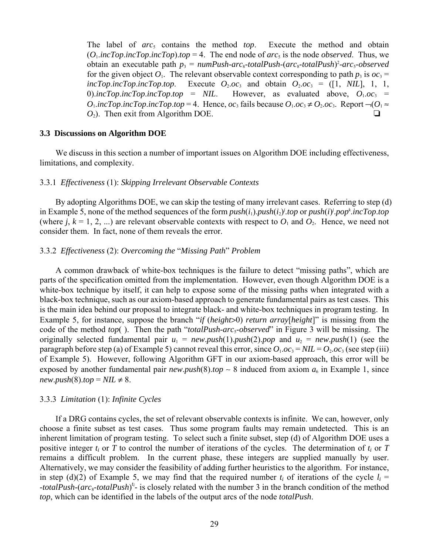The label of  $arc_5$  contains the method top. Execute the method and obtain  $(O_1$ *incTop.incTop.incTop*)*.top* = 4. The end node of *arc*<sub>5</sub> is the node *observed*. Thus, we obtain an executable path  $p_3 = numPush-arc_s-totalPush-(arc_s-totalPush)^2-arc_s-observed$ for the given object  $O_1$ . The relevant observable context corresponding to path  $p_3$  is  $oc_3 =$  $incTop.incTop.incTop,top$ Execute  $O_2 \tcdot c_3$  and obtain  $O_2 \tcdot c_3 = (1, \t NIL), 1, 1,$ 0).incTop.incTop.incTop.top = NIL. However, as evaluated above,  $O_1 \cdot 1.0C_3$  =  $O_1$ .incTop.incTop.incTop.top = 4. Hence,  $oc_3$  fails because  $O_1$ .oc<sub>3</sub>  $\neq O_2$ .oc<sub>3</sub>. Report  $\neg (O_1 \approx$  $O_2$ ). Then exit from Algorithm DOE.  $\Box$ 

#### 3.3 Discussions on Algorithm DOE

We discuss in this section a number of important issues on Algorithm DOE including effectiveness, limitations, and complexity.

#### 3.3.1 Effectiveness (1): Skipping Irrelevant Observable Contexts

By adopting Algorithms DOE, we can skip the testing of many irrelevant cases. Referring to step (d) in Example 5, none of the method sequences of the form  $push(i_1).push(i_2)'.top$  or  $push(i)'.pop^k.incTop.top)$ (where j,  $k = 1, 2, ...$ ) are relevant observable contexts with respect to  $O_1$  and  $O_2$ . Hence, we need not consider them. In fact, none of them reveals the error.

## 3.3.2 Effectiveness (2): Overcoming the "Missing Path" Problem

A common drawback of white-box techniques is the failure to detect "missing paths", which are parts of the specification omitted from the implementation. However, even though Algorithm DOE is a white-box technique by itself, it can help to expose some of the missing paths when integrated with a black-box technique, such as our axiom-based approach to generate fundamental pairs as test cases. This is the main idea behind our proposal to integrate black- and white-box techniques in program testing. In Example 5, for instance, suppose the branch "if (height>0) return array[height]" is missing from the code of the method *top*(). Then the path "*totalPush-arc<sub>s</sub>-observed*" in Figure 3 will be missing. The originally selected fundamental pair  $u_1 = new.push(1).push(2).pop$  and  $u_2 = new.push(1)$  (see the paragraph before step (a) of Example 5) cannot reveal this error, since  $O_1$ .  $oc_3 = NIL = O_2$ .  $oc_3$  (see step (iii) of Example 5). However, following Algorithm GFT in our axiom-based approach, this error will be exposed by another fundamental pair *new.push(8).top* ~ 8 induced from axiom  $a_6$  in Example 1, since  $new.push(8).top = NIL \neq 8.$ 

## 3.3.3 Limitation (1): Infinite Cycles

If a DRG contains cycles, the set of relevant observable contexts is infinite. We can, however, only choose a finite subset as test cases. Thus some program faults may remain undetected. This is an inherent limitation of program testing. To select such a finite subset, step (d) of Algorithm DOE uses a positive integer  $t_i$  or T to control the number of iterations of the cycles. The determination of  $t_i$  or T remains a difficult problem. In the current phase, these integers are supplied manually by user. Alternatively, we may consider the feasibility of adding further heuristics to the algorithm. For instance, in step (d)(2) of Example 5, we may find that the required number  $t_i$  of iterations of the cycle  $l_i$  = *totalPush-(arc<sub>s</sub>-totalPush)<sup>t<sub>i</sub></sup>*- is closely related with the number 3 in the branch condition of the method top, which can be identified in the labels of the output arcs of the node totalPush.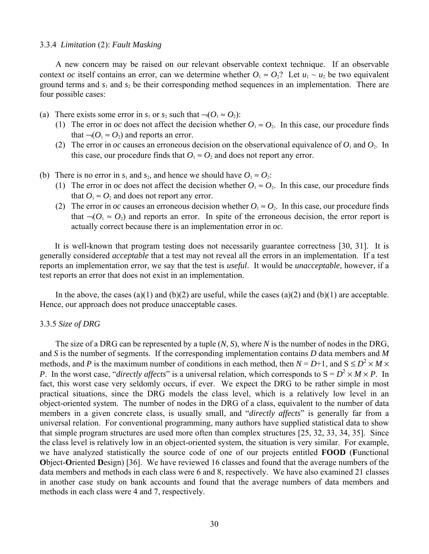#### 3.3.4 Limitation (2): Fault Masking

A new concern may be raised on our relevant observable context technique. If an observable context *oc* itself contains an error, can we determine whether  $O_1 \approx O_2$ ? Let  $u_1 \sim u_2$  be two equivalent ground terms and  $s_1$  and  $s_2$  be their corresponding method sequences in an implementation. There are four possible cases:

- (a) There exists some error in  $s_1$  or  $s_2$  such that  $\neg (O_1 \approx O_2)$ :
	- (1) The error in oc does not affect the decision whether  $O_1 \approx O_2$ . In this case, our procedure finds that  $\neg (O_1 \approx O_2)$  and reports an error.
	- (2) The error in oc causes an erroneous decision on the observational equivalence of  $O_1$  and  $O_2$ . In this case, our procedure finds that  $O_1 \approx O_2$  and does not report any error.
- (b) There is no error in  $s_1$  and  $s_2$ , and hence we should have  $O_1 \approx O_2$ .
	- (1) The error in oc does not affect the decision whether  $O_1 \approx O_2$ . In this case, our procedure finds that  $O_1 \approx O_2$  and does not report any error.
	- (2) The error in oc causes an erroneous decision whether  $O_1 \approx O_2$ . In this case, our procedure finds that  $\neg (O_1 \approx O_2)$  and reports an error. In spite of the erroneous decision, the error report is actually correct because there is an implementation error in oc.

It is well-known that program testing does not necessarily guarantee correctness [30, 31]. It is generally considered *acceptable* that a test may not reveal all the errors in an implementation. If a test reports an implementation error, we say that the test is *useful*. It would be *unacceptable*, however, if a test reports an error that does not exist in an implementation.

In the above, the cases (a)(1) and (b)(2) are useful, while the cases (a)(2) and (b)(1) are acceptable. Hence, our approach does not produce unacceptable cases.

#### 3.3.5 Size of DRG

The size of a DRG can be represented by a tuple  $(N, S)$ , where N is the number of nodes in the DRG, and S is the number of segments. If the corresponding implementation contains  $D$  data members and  $M$ methods, and P is the maximum number of conditions in each method, then  $N = D+1$ , and  $S \le D^2 \times M \times$ P. In the worst case, "directly affects" is a universal relation, which corresponds to  $S = D^2 \times M \times P$ . In fact, this worst case very seldomly occurs, if ever. We expect the DRG to be rather simple in most practical situations, since the DRG models the class level, which is a relatively low level in an object-oriented system. The number of nodes in the DRG of a class, equivalent to the number of data members in a given concrete class, is usually small, and "directly affects" is generally far from a universal relation. For conventional programming, many authors have supplied statistical data to show that simple program structures are used more often than complex structures [25, 32, 33, 34, 35]. Since the class level is relatively low in an object-oriented system, the situation is very similar. For example, we have analyzed statistically the source code of one of our projects entitled **FOOD** (Functional Object-Oriented Design) [36]. We have reviewed 16 classes and found that the average numbers of the data members and methods in each class were 6 and 8, respectively. We have also examined 21 classes in another case study on bank accounts and found that the average numbers of data members and methods in each class were 4 and 7, respectively.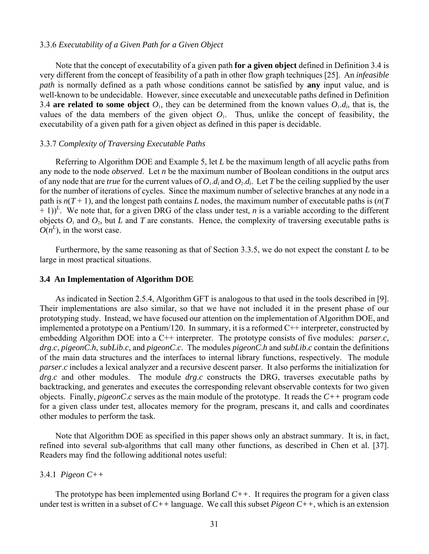#### 3.3.6 Executability of a Given Path for a Given Object

Note that the concept of executability of a given path for a given object defined in Definition 3.4 is very different from the concept of feasibility of a path in other flow graph techniques [25]. An *infeasible path* is normally defined as a path whose conditions cannot be satisfied by **any** input value, and is well-known to be undecidable. However, since executable and unexecutable paths defined in Definition 3.4 are related to some object  $O_1$ , they can be determined from the known values  $O_1$ . d<sub>i</sub>, that is, the values of the data members of the given object  $O<sub>1</sub>$ . Thus, unlike the concept of feasibility, the executability of a given path for a given object as defined in this paper is decidable.

#### 3.3.7 Complexity of Traversing Executable Paths

Referring to Algorithm DOE and Example 5, let  $L$  be the maximum length of all acyclic paths from any node to the node *observed*. Let  $n$  be the maximum number of Boolean conditions in the output arcs of any node that are *true* for the current values of  $O_1$ .  $d_i$  and  $O_2$ .  $d_i$ . Let T be the ceiling supplied by the user for the number of iterations of cycles. Since the maximum number of selective branches at any node in a path is  $n(T + 1)$ , and the longest path contains L nodes, the maximum number of executable paths is  $(n(T + 1))$  $(1 + 1)^{L}$ . We note that, for a given DRG of the class under test, *n* is a variable according to the different objects  $O_1$  and  $O_2$ , but L and T are constants. Hence, the complexity of traversing executable paths is  $O(n^2)$ , in the worst case.

Furthermore, by the same reasoning as that of Section 3.3.5, we do not expect the constant  $L$  to be large in most practical situations.

#### 3.4 An Implementation of Algorithm DOE

As indicated in Section 2.5.4, Algorithm GFT is analogous to that used in the tools described in [9]. Their implementations are also similar, so that we have not included it in the present phase of our prototyping study. Instead, we have focused our attention on the implementation of Algorithm DOE, and implemented a prototype on a Pentium/120. In summary, it is a reformed  $C++$  interpreter, constructed by embedding Algorithm DOE into a  $C++$  interpreter. The prototype consists of five modules: *parser.c*,  $\text{drg.c.}$  pigeonC.h, subLib.c, and pigeonC.c. The modules pigeonC.h and subLib.c contain the definitions of the main data structures and the interfaces to internal library functions, respectively. The module *parser.c* includes a lexical analyzer and a recursive descent parser. It also performs the initialization for  $\frac{dr}{g.c}$  and other modules. The module  $\frac{dr}{g.c}$  constructs the DRG, traverses executable paths by backtracking, and generates and executes the corresponding relevant observable contexts for two given objects. Finally, *pigeonC.c* serves as the main module of the prototype. It reads the  $C_{++}$  program code for a given class under test, allocates memory for the program, prescans it, and calls and coordinates other modules to perform the task.

Note that Algorithm DOE as specified in this paper shows only an abstract summary. It is, in fact, refined into several sub-algorithms that call many other functions, as described in Chen et al. [37]. Readers may find the following additional notes useful:

3.4.1 *Pigeon*  $C++$ 

The prototype has been implemented using Borland  $C_{++}$ . It requires the program for a given class under test is written in a subset of  $C_{++}$  language. We call this subset *Pigeon*  $C_{++}$ , which is an extension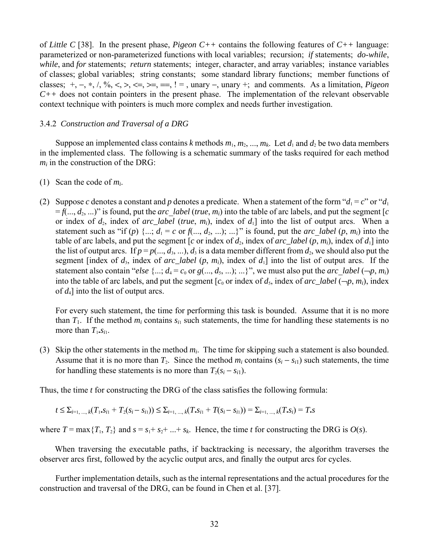of Little C [38]. In the present phase, *Pigeon* C++ contains the following features of C++ language: parameterized or non-parameterized functions with local variables: recursion: *if* statements; *do-while*, while, and for statements; return statements; integer, character, and array variables; instance variables of classes; global variables; string constants; some standard library functions; member functions of classes;  $+, -, *, /, \%, <, >, <=, >=, !=$ , unary -, unary +; and comments. As a limitation, *Pigeon*  $C++$  does not contain pointers in the present phase. The implementation of the relevant observable context technique with pointers is much more complex and needs further investigation.

#### 3.4.2 Construction and Traversal of a DRG

Suppose an implemented class contains k methods  $m_1, m_2, ..., m_k$ . Let  $d_1$  and  $d_2$  be two data members in the implemented class. The following is a schematic summary of the tasks required for each method  $m_i$  in the construction of the DRG:

- (1) Scan the code of  $m_i$ .
- (2) Suppose c denotes a constant and p denotes a predicate. When a statement of the form " $d_1 = c$ " or " $d_1$ "  $=f(..., d_2,...)$ " is found, put the *arc* label (*true*, *m<sub>i</sub>*) into the table of arc labels, and put the segment [*c* or index of  $d_2$ , index of arc\_label (true, m<sub>i</sub>), index of  $d_1$ ] into the list of output arcs. When a statement such as "if (p) {...;  $d_1 = c$  or  $f( ..., d_2, ...)$ ; ...}" is found, put the *arc* label (p, m<sub>i</sub>) into the table of arc labels, and put the segment [c or index of  $d_2$ , index of arc\_label (p, m<sub>i</sub>), index of  $d_1$ ] into the list of output arcs. If  $p = p(..., d_3, ...)$ ,  $d_3$  is a data member different from  $d_2$ , we should also put the segment [index of  $d_3$ , index of arc\_label  $(p, m_i)$ , index of  $d_1$ ] into the list of output arcs. If the statement also contain "*else* {...;  $d_4 = c_0$  or  $g(..., d_5, ...)$ ; ...}", we must also put the *arc* label  $(\neg p, m_i)$ into the table of arc labels, and put the segment  $[c_0$  or index of  $d_5$ , index of arc label  $(-p, m_i)$ , index of  $d_4$ ] into the list of output arcs.

For every such statement, the time for performing this task is bounded. Assume that it is no more than  $T_1$ . If the method  $m_i$  contains  $s_{i1}$  such statements, the time for handling these statements is no more than  $T_1 \cdot s_{i1}$ .

(3) Skip the other statements in the method  $m_i$ . The time for skipping such a statement is also bounded. Assume that it is no more than  $T_2$ . Since the method  $m_i$  contains  $(s_i - s_{i1})$  such statements, the time for handling these statements is no more than  $T_2(s_i - s_{i1})$ .

Thus, the time t for constructing the DRG of the class satisfies the following formula:

$$
t \leq \sum_{i=1,...,k} (T_{1\bullet} s_{i1} + T_{2}(s_i - s_{i1})) \leq \sum_{i=1,...,k} (T_{\bullet} s_{i1} + T(s_i - s_{i1})) = \sum_{i=1,...,k} (T_{\bullet} s_i) = T_{\bullet} s
$$

where  $T = \max\{T_1, T_2\}$  and  $s = s_1 + s_2 + ... + s_k$ . Hence, the time t for constructing the DRG is  $O(s)$ .

When traversing the executable paths, if backtracking is necessary, the algorithm traverses the observer arcs first, followed by the acyclic output arcs, and finally the output arcs for cycles.

Further implementation details, such as the internal representations and the actual procedures for the construction and traversal of the DRG, can be found in Chen et al. [37].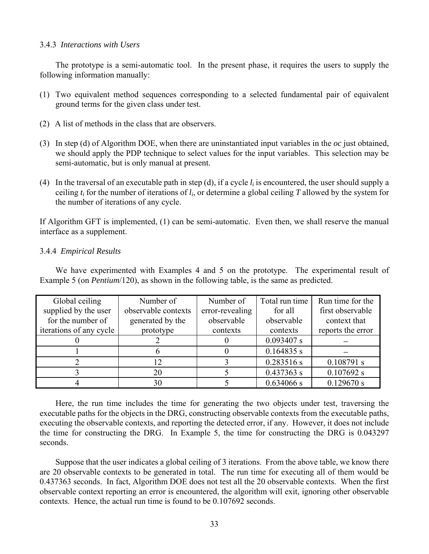#### 3.4.3 Interactions with Users

The prototype is a semi-automatic tool. In the present phase, it requires the users to supply the following information manually:

- (1) Two equivalent method sequences corresponding to a selected fundamental pair of equivalent ground terms for the given class under test.
- (2) A list of methods in the class that are observers.
- (3) In step (d) of Algorithm DOE, when there are uninstantiated input variables in the  $oc$  just obtained, we should apply the PDP technique to select values for the input variables. This selection may be semi-automatic, but is only manual at present.
- (4) In the traversal of an executable path in step (d), if a cycle  $l_i$  is encountered, the user should supply a ceiling  $t_i$  for the number of iterations of  $l_i$ , or determine a global ceiling T allowed by the system for the number of iterations of any cycle.

If Algorithm GFT is implemented, (1) can be semi-automatic. Even then, we shall reserve the manual interface as a supplement.

## 3.4.4 Empirical Results

We have experimented with Examples 4 and 5 on the prototype. The experimental result of Example 5 (on *Pentium*/120), as shown in the following table, is the same as predicted.

| Global ceiling          | Number of           | Number of       | Total run time | Run time for the  |
|-------------------------|---------------------|-----------------|----------------|-------------------|
| supplied by the user    | observable contexts | error-revealing | for all        | first observable  |
| for the number of       | generated by the    | observable      | observable     | context that      |
| iterations of any cycle | prototype           | contexts        | contexts       | reports the error |
|                         |                     |                 | 0.093407 s     |                   |
|                         | O                   |                 | 0.164835 s     |                   |
|                         | 12                  |                 | 0.283516 s     | 0.108791 s        |
|                         | 20                  |                 | $0.437363$ s   | 0.107692 s        |
|                         | 30                  |                 | $0.634066$ s   | 0.129670 s        |

Here, the run time includes the time for generating the two objects under test, traversing the executable paths for the objects in the DRG, constructing observable contexts from the executable paths, executing the observable contexts, and reporting the detected error, if any. However, it does not include the time for constructing the DRG. In Example 5, the time for constructing the DRG is 0.043297 seconds.

Suppose that the user indicates a global ceiling of 3 iterations. From the above table, we know there are 20 observable contexts to be generated in total. The run time for executing all of them would be 0.437363 seconds. In fact, Algorithm DOE does not test all the 20 observable contexts. When the first observable context reporting an error is encountered, the algorithm will exit, ignoring other observable contexts. Hence, the actual run time is found to be 0.107692 seconds.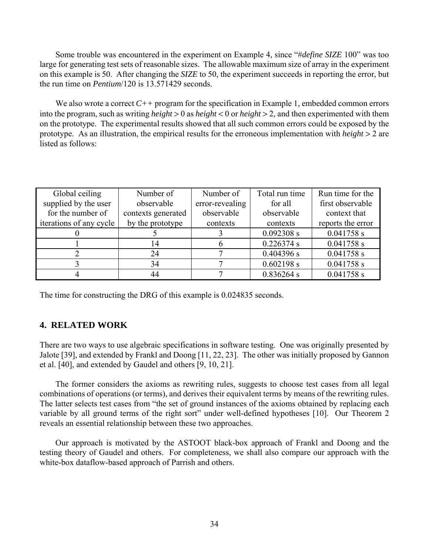Some trouble was encountered in the experiment on Example 4, since "#*define SIZE* 100" was too large for generating test sets of reasonable sizes. The allowable maximum size of array in the experiment on this example is 50. After changing the SIZE to 50, the experiment succeeds in reporting the error, but the run time on *Pentium*/120 is 13.571429 seconds.

We also wrote a correct  $C_{++}$  program for the specification in Example 1, embedded common errors into the program, such as writing *height* > 0 as *height* < 0 or *height* > 2, and then experimented with them on the prototype. The experimental results showed that all such common errors could be exposed by the prototype. As an illustration, the empirical results for the erroneous implementation with  $height > 2$  are listed as follows:

| Global ceiling          | Number of          | Number of       | Total run time | Run time for the  |
|-------------------------|--------------------|-----------------|----------------|-------------------|
| supplied by the user    | observable         | error-revealing | for all        | first observable  |
| for the number of       | contexts generated | observable      | observable     | context that      |
| iterations of any cycle | by the prototype   | contexts        | contexts       | reports the error |
|                         |                    |                 | 0.092308 s     | $0.041758$ s      |
|                         | 14                 | O               | 0.226374 s     | $0.041758$ s      |
|                         | 24                 |                 | 0.404396 s     | $0.041758$ s      |
|                         | 34                 |                 | 0.602198 s     | $0.041758$ s      |
|                         | 44                 |                 | $0.836264$ s   | $0.041758$ s      |

The time for constructing the DRG of this example is 0.024835 seconds.

# **4. RELATED WORK**

There are two ways to use algebraic specifications in software testing. One was originally presented by Jalote [39], and extended by Frankl and Doong [11, 22, 23]. The other was initially proposed by Gannon et al. [40], and extended by Gaudel and others [9, 10, 21].

The former considers the axioms as rewriting rules, suggests to choose test cases from all legal combinations of operations (or terms), and derives their equivalent terms by means of the rewriting rules. The latter selects test cases from "the set of ground instances of the axioms obtained by replacing each variable by all ground terms of the right sort" under well-defined hypotheses [10]. Our Theorem 2 reveals an essential relationship between these two approaches.

Our approach is motivated by the ASTOOT black-box approach of Frankl and Doong and the testing theory of Gaudel and others. For completeness, we shall also compare our approach with the white-box dataflow-based approach of Parrish and others.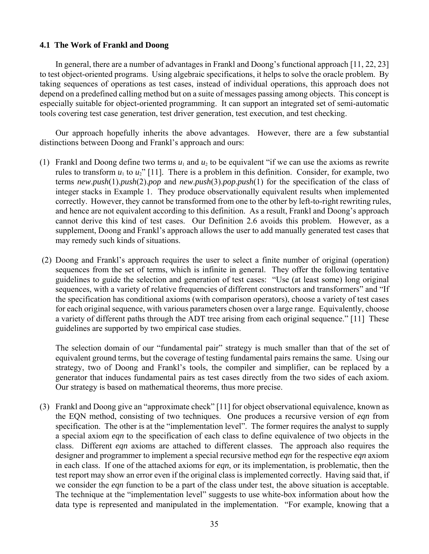## 4.1 The Work of Frankl and Doong

In general, there are a number of advantages in Frankl and Doong's functional approach [11, 22, 23] to test object-oriented programs. Using algebraic specifications, it helps to solve the oracle problem. By taking sequences of operations as test cases, instead of individual operations, this approach does not depend on a predefined calling method but on a suite of messages passing among objects. This concept is especially suitable for object-oriented programming. It can support an integrated set of semi-automatic tools covering test case generation, test driver generation, test execution, and test checking.

Our approach hopefully inherits the above advantages. However, there are a few substantial distinctions between Doong and Frankl's approach and ours:

- (1) Frankl and Doong define two terms  $u_1$  and  $u_2$  to be equivalent "if we can use the axioms as rewrite rules to transform  $u_1$  to  $u_2$ " [11]. There is a problem in this definition. Consider, for example, two terms new.push(1).push(2).pop and new.push(3).pop.push(1) for the specification of the class of integer stacks in Example 1. They produce observationally equivalent results when implemented correctly. However, they cannot be transformed from one to the other by left-to-right rewriting rules, and hence are not equivalent according to this definition. As a result, Frankl and Doong's approach cannot derive this kind of test cases. Our Definition 2.6 avoids this problem. However, as a supplement, Doong and Frankl's approach allows the user to add manually generated test cases that may remedy such kinds of situations.
- (2) Doong and Frankl's approach requires the user to select a finite number of original (operation) sequences from the set of terms, which is infinite in general. They offer the following tentative guidelines to guide the selection and generation of test cases: "Use (at least some) long original sequences, with a variety of relative frequencies of different constructors and transformers" and "If the specification has conditional axioms (with comparison operators), choose a variety of test cases for each original sequence, with various parameters chosen over a large range. Equivalently, choose a variety of different paths through the ADT tree arising from each original sequence." [11] These guidelines are supported by two empirical case studies.

The selection domain of our "fundamental pair" strategy is much smaller than that of the set of equivalent ground terms, but the coverage of testing fundamental pairs remains the same. Using our strategy, two of Doong and Frankl's tools, the compiler and simplifier, can be replaced by a generator that induces fundamental pairs as test cases directly from the two sides of each axiom. Our strategy is based on mathematical theorems, thus more precise.

(3) Frankl and Doong give an "approximate check" [11] for object observational equivalence, known as the EQN method, consisting of two techniques. One produces a recursive version of eqn from specification. The other is at the "implementation level". The former requires the analyst to supply a special axiom *eqn* to the specification of each class to define equivalence of two objects in the class. Different eqn axioms are attached to different classes. The approach also requires the designer and programmer to implement a special recursive method *eqn* for the respective *eqn* axiom in each class. If one of the attached axioms for  $eqn$ , or its implementation, is problematic, then the test report may show an error even if the original class is implemented correctly. Having said that, if we consider the *eqn* function to be a part of the class under test, the above situation is acceptable. The technique at the "implementation level" suggests to use white-box information about how the data type is represented and manipulated in the implementation. "For example, knowing that a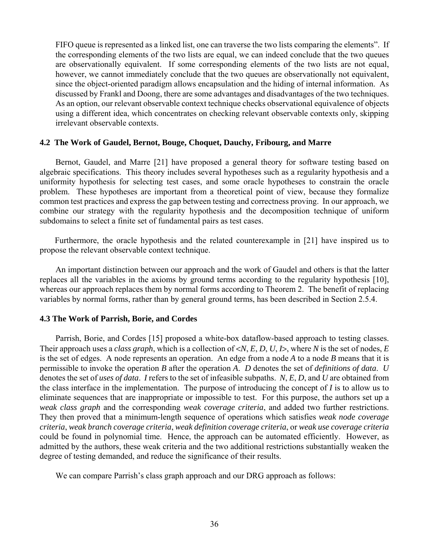FIFO queue is represented as a linked list, one can traverse the two lists comparing the elements". If the corresponding elements of the two lists are equal, we can indeed conclude that the two queues are observationally equivalent. If some corresponding elements of the two lists are not equal, however, we cannot immediately conclude that the two queues are observationally not equivalent, since the object-oriented paradigm allows encapsulation and the hiding of internal information. As discussed by Frankl and Doong, there are some advantages and disadvantages of the two techniques. As an option, our relevant observable context technique checks observational equivalence of objects using a different idea, which concentrates on checking relevant observable contexts only, skipping irrelevant observable contexts.

## 4.2 The Work of Gaudel, Bernot, Bouge, Choquet, Dauchy, Fribourg, and Marre

Bernot, Gaudel, and Marre [21] have proposed a general theory for software testing based on algebraic specifications. This theory includes several hypotheses such as a regularity hypothesis and a uniformity hypothesis for selecting test cases, and some oracle hypotheses to constrain the oracle problem. These hypotheses are important from a theoretical point of view, because they formalize common test practices and express the gap between testing and correctness proving. In our approach, we combine our strategy with the regularity hypothesis and the decomposition technique of uniform subdomains to select a finite set of fundamental pairs as test cases.

Furthermore, the oracle hypothesis and the related counterexample in [21] have inspired us to propose the relevant observable context technique.

An important distinction between our approach and the work of Gaudel and others is that the latter replaces all the variables in the axioms by ground terms according to the regularity hypothesis [10], whereas our approach replaces them by normal forms according to Theorem 2. The benefit of replacing variables by normal forms, rather than by general ground terms, has been described in Section 2.5.4.

## 4.3 The Work of Parrish, Borie, and Cordes

Parrish, Borie, and Cordes [15] proposed a white-box dataflow-based approach to testing classes. Their approach uses a *class graph*, which is a collection of  $\langle N, E, D, U, I \rangle$ , where N is the set of nodes, E is the set of edges. A node represents an operation. An edge from a node  $A$  to a node  $B$  means that it is permissible to invoke the operation  $B$  after the operation  $A$ .  $D$  denotes the set of *definitions of data.*  $U$ denotes the set of *uses of data.* I refers to the set of infeasible subpaths.  $N$ ,  $E$ ,  $D$ , and  $U$  are obtained from the class interface in the implementation. The purpose of introducing the concept of  $I$  is to allow us to eliminate sequences that are inappropriate or impossible to test. For this purpose, the authors set up a weak class graph and the corresponding weak coverage criteria, and added two further restrictions. They then proved that a minimum-length sequence of operations which satisfies weak node coverage criteria, weak branch coverage criteria, weak definition coverage criteria, or weak use coverage criteria could be found in polynomial time. Hence, the approach can be automated efficiently. However, as admitted by the authors, these weak criteria and the two additional restrictions substantially weaken the degree of testing demanded, and reduce the significance of their results.

We can compare Parrish's class graph approach and our DRG approach as follows: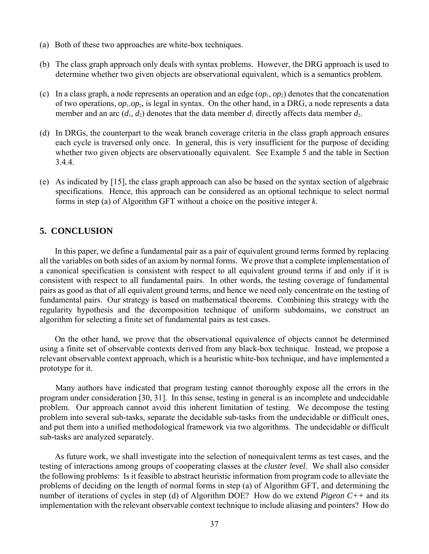- (a) Both of these two approaches are white-box techniques.
- (b) The class graph approach only deals with syntax problems. However, the DRG approach is used to determine whether two given objects are observational equivalent, which is a semantics problem.
- (c) In a class graph, a node represents an operation and an edge  $(op_1, op_2)$  denotes that the concatenation of two operations,  $op_1.op_2$ , is legal in syntax. On the other hand, in a DRG, a node represents a data member and an arc  $(d_1, d_2)$  denotes that the data member  $d_1$  directly affects data member  $d_2$ .
- (d) In DRGs, the counterpart to the weak branch coverage criteria in the class graph approach ensures each cycle is traversed only once. In general, this is very insufficient for the purpose of deciding whether two given objects are observationally equivalent. See Example 5 and the table in Section 3.4.4.
- (e) As indicated by [15], the class graph approach can also be based on the syntax section of algebraic specifications. Hence, this approach can be considered as an optional technique to select normal forms in step (a) of Algorithm GFT without a choice on the positive integer  $k$ .

# **5. CONCLUSION**

In this paper, we define a fundamental pair as a pair of equivalent ground terms formed by replacing all the variables on both sides of an axiom by normal forms. We prove that a complete implementation of a canonical specification is consistent with respect to all equivalent ground terms if and only if it is consistent with respect to all fundamental pairs. In other words, the testing coverage of fundamental pairs as good as that of all equivalent ground terms, and hence we need only concentrate on the testing of fundamental pairs. Our strategy is based on mathematical theorems. Combining this strategy with the regularity hypothesis and the decomposition technique of uniform subdomains, we construct an algorithm for selecting a finite set of fundamental pairs as test cases.

On the other hand, we prove that the observational equivalence of objects cannot be determined using a finite set of observable contexts derived from any black-box technique. Instead, we propose a relevant observable context approach, which is a heuristic white-box technique, and have implemented a prototype for it.

Many authors have indicated that program testing cannot thoroughly expose all the errors in the program under consideration [30, 31]. In this sense, testing in general is an incomplete and undecidable problem. Our approach cannot avoid this inherent limitation of testing. We decompose the testing problem into several sub-tasks, separate the decidable sub-tasks from the undecidable or difficult ones. and put them into a unified methodological framework via two algorithms. The undecidable or difficult sub-tasks are analyzed separately.

As future work, we shall investigate into the selection of nonequivalent terms as test cases, and the testing of interactions among groups of cooperating classes at the *cluster level*. We shall also consider the following problems: Is it feasible to abstract heuristic information from program code to alleviate the problems of deciding on the length of normal forms in step (a) of Algorithm GFT, and determining the number of iterations of cycles in step (d) of Algorithm DOE? How do we extend *Pigeon*  $C_{++}$  and its implementation with the relevant observable context technique to include aliasing and pointers? How do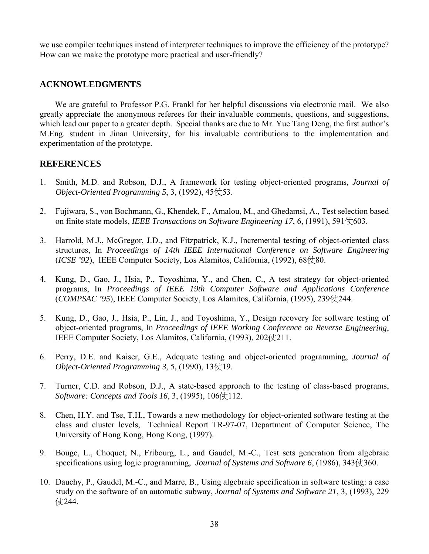we use compiler techniques instead of interpreter techniques to improve the efficiency of the prototype? How can we make the prototype more practical and user-friendly?

# **ACKNOWLEDGMENTS**

We are grateful to Professor P.G. Frankl for her helpful discussions via electronic mail. We also greatly appreciate the anonymous referees for their invaluable comments, questions, and suggestions, which lead our paper to a greater depth. Special thanks are due to Mr. Yue Tang Deng, the first author's M.Eng. student in Jinan University, for his invaluable contributions to the implementation and experimentation of the prototype.

# **REFERENCES**

- Smith, M.D. and Robson, D.J., A framework for testing object-oriented programs, *Journal of*  $1<sup>1</sup>$ Object-Oriented Programming 5, 3, (1992),  $45\left(\frac{1}{25}\right)$ .
- 2. Fujiwara, S., von Bochmann, G., Khendek, F., Amalou, M., and Ghedamsi, A., Test selection based on finite state models, IEEE Transactions on Software Engineering 17, 6, (1991), 591 $\sharp$ 603.
- 3. Harrold, M.J., McGregor, J.D., and Fitzpatrick, K.J., Incremental testing of object-oriented class structures, In Proceedings of 14th IEEE International Conference on Software Engineering (*ICSE* '92), IEEE Computer Society, Los Alamitos, California, (1992),  $68 \times 80$ .
- 4. Kung, D., Gao, J., Hsia, P., Toyoshima, Y., and Chen, C., A test strategy for object-oriented programs, In Proceedings of IEEE 19th Computer Software and Applications Conference (COMPSAC '95), IEEE Computer Society, Los Alamitos, California, (1995), 239仗244.
- 5. Kung, D., Gao, J., Hsia, P., Lin, J., and Toyoshima, Y., Design recovery for software testing of object-oriented programs, In Proceedings of IEEE Working Conference on Reverse Engineering, IEEE Computer Society, Los Alamitos, California, (1993), 202仗211.
- 6. Perry, D.E. and Kaiser, G.E., Adequate testing and object-oriented programming, Journal of Object-Oriented Programming 3, 5, (1990),  $13(19)$ .
- 7. Turner, C.D. and Robson, D.J., A state-based approach to the testing of class-based programs, Software: Concepts and Tools 16, 3, (1995), 106仗112.
- 8. Chen, H.Y. and Tse, T.H., Towards a new methodology for object-oriented software testing at the class and cluster levels, Technical Report TR-97-07, Department of Computer Science, The University of Hong Kong, Hong Kong, (1997).
- Bouge, L., Choquet, N., Fribourg, L., and Gaudel, M.-C., Test sets generation from algebraic  $9<sub>1</sub>$ specifications using logic programming, *Journal of Systems and Software 6*, (1986),  $343\text{\textless}\times360$ .
- 10. Dauchy, P., Gaudel, M.-C., and Marre, B., Using algebraic specification in software testing: a case study on the software of an automatic subway, Journal of Systems and Software 21, 3, (1993), 229 仗244.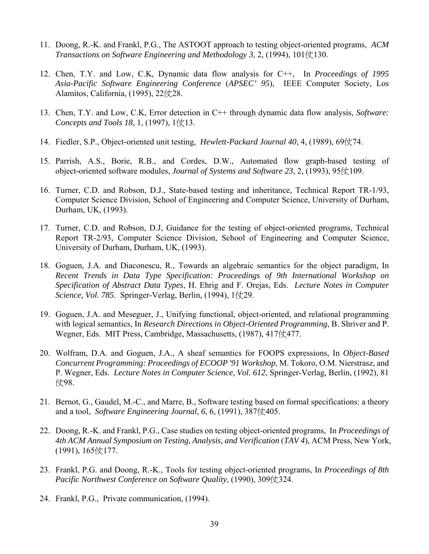- 11. Doong, R.-K. and Frankl, P.G., The ASTOOT approach to testing object-oriented programs, ACM Transactions on Software Engineering and Methodology 3, 2, (1994),  $101 \times 130$ .
- 12. Chen, T.Y. and Low, C.K. Dynamic data flow analysis for C++, In Proceedings of 1995 Asia-Pacific Software Engineering Conference (APSEC' 95), IEEE Computer Society, Los Alamitos, California, (1995), 22仗28.
- 13. Chen, T.Y. and Low, C.K. Error detection in C++ through dynamic data flow analysis, Software: Concepts and Tools 18, 1, (1997),  $1 \notin 13$ .
- 14. Fiedler, S.P., Object-oriented unit testing, *Hewlett-Packard Journal 40*, 4, (1989), 69仗74.
- 15. Parrish, A.S., Borie, R.B., and Cordes, D.W., Automated flow graph-based testing of object-oriented software modules, *Journal of Systems and Software 23*, 2, (1993), 95 $\notin$ 109.
- 16. Turner, C.D. and Robson, D.J., State-based testing and inheritance. Technical Report TR-1/93. Computer Science Division, School of Engineering and Computer Science, University of Durham, Durham, UK, (1993).
- 17. Turner, C.D. and Robson, D.J. Guidance for the testing of object-oriented programs, Technical Report TR-2/93, Computer Science Division, School of Engineering and Computer Science, University of Durham, Durham, UK, (1993).
- 18. Goguen, J.A. and Diaconescu, R., Towards an algebraic semantics for the object paradigm, In Recent Trends in Data Type Specification: Proceedings of 9th International Workshop on Specification of Abstract Data Types, H. Ehrig and F. Orejas, Eds. Lecture Notes in Computer Science, Vol. 785. Springer-Verlag, Berlin, (1994), 1仗29.
- 19. Goguen, J.A. and Meseguer, J., Unifying functional, object-oriented, and relational programming with logical semantics, In Research Directions in Object-Oriented Programming, B. Shriver and P. Wegner, Eds. MIT Press, Cambridge, Massachusetts, (1987), 417仗477.
- 20. Wolfram, D.A. and Goguen, J.A., A sheaf semantics for FOOPS expressions, In Object-Based Concurrent Programming: Proceedings of ECOOP '91 Workshop, M. Tokoro, O.M. Nierstrasz, and P. Wegner, Eds. Lecture Notes in Computer Science, Vol. 612, Springer-Verlag, Berlin, (1992), 81 仗98.
- 21. Bernot, G., Gaudel, M.-C., and Marre, B., Software testing based on formal specifications: a theory and a tool, *Software Engineering Journal*, 6, 6, (1991),  $387\text{\textbackslash}405$ .
- 22. Doong, R.-K. and Frankl, P.G., Case studies on testing object-oriented programs, In Proceedings of 4th ACM Annual Symposium on Testing, Analysis, and Verification (TAV 4), ACM Press, New York,  $(1991)$ ,  $165$ 仗 $177$ .
- 23. Frankl, P.G. and Doong, R.-K., Tools for testing object-oriented programs, In Proceedings of 8th Pacific Northwest Conference on Software Quality, (1990), 309仗324.
- 24. Frankl, P.G., Private communication, (1994).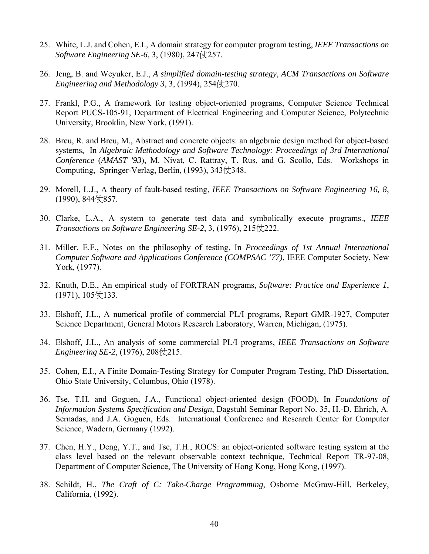- 25. White, L.J. and Cohen, E.I., A domain strategy for computer program testing, IEEE Transactions on Software Engineering SE-6, 3, (1980), 247 $\text{\textsterling}257$ .
- 26. Jeng, B. and Weyuker, E.J., A simplified domain-testing strategy, ACM Transactions on Software Engineering and Methodology 3, 3, (1994),  $254\text{ }\frac{1}{2}70$ .
- 27. Frankl, P.G., A framework for testing object-oriented programs, Computer Science Technical Report PUCS-105-91, Department of Electrical Engineering and Computer Science, Polytechnic University, Brooklin, New York, (1991).
- 28. Breu, R. and Breu, M., Abstract and concrete objects: an algebraic design method for object-based systems, In Algebraic Methodology and Software Technology: Proceedings of 3rd International Conference (AMAST '93), M. Nivat, C. Rattray, T. Rus, and G. Scollo, Eds. Workshops in Computing, Springer-Verlag, Berlin, (1993), 343仗348.
- 29. Morell, L.J., A theory of fault-based testing, IEEE Transactions on Software Engineering 16, 8,  $(1990), 844$   $\not\in$  857.
- 30. Clarke, L.A., A system to generate test data and symbolically execute programs., IEEE Transactions on Software Engineering SE-2, 3, (1976), 215 $\&$  222.
- 31. Miller, E.F., Notes on the philosophy of testing, In Proceedings of 1st Annual International Computer Software and Applications Conference (COMPSAC '77), IEEE Computer Society, New York, (1977).
- 32. Knuth, D.E., An empirical study of FORTRAN programs, Software: Practice and Experience 1,  $(1971)$ ,  $105 \times 133$ .
- 33. Elshoff, J.L., A numerical profile of commercial PL/I programs, Report GMR-1927, Computer Science Department, General Motors Research Laboratory, Warren, Michigan, (1975).
- 34. Elshoff, J.L., An analysis of some commercial PL/I programs, IEEE Transactions on Software *Engineering SE-2*, (1976), 208 $\angle$ 215.
- 35. Cohen, E.I., A Finite Domain-Testing Strategy for Computer Program Testing, PhD Dissertation, Ohio State University, Columbus, Ohio (1978).
- 36. Tse, T.H. and Goguen, J.A., Functional object-oriented design (FOOD), In Foundations of Information Systems Specification and Design, Dagstuhl Seminar Report No. 35, H.-D. Ehrich, A. Sernadas, and J.A. Goguen, Eds. International Conference and Research Center for Computer Science, Wadern, Germany (1992).
- 37. Chen, H.Y., Deng, Y.T., and Tse, T.H., ROCS: an object-oriented software testing system at the class level based on the relevant observable context technique, Technical Report TR-97-08, Department of Computer Science, The University of Hong Kong, Hong Kong, (1997).
- 38. Schildt, H., The Craft of C: Take-Charge Programming, Osborne McGraw-Hill, Berkeley, California, (1992).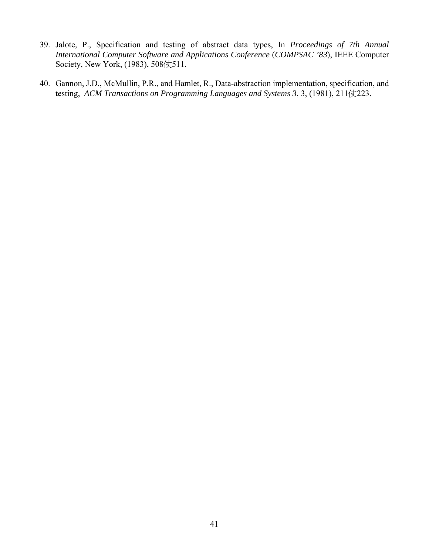- 39. Jalote, P., Specification and testing of abstract data types, In Proceedings of 7th Annual International Computer Software and Applications Conference (COMPSAC '83), IEEE Computer Society, New York, (1983), 508仗511.
- 40. Gannon, J.D., McMullin, P.R., and Hamlet, R., Data-abstraction implementation, specification, and testing, ACM Transactions on Programming Languages and Systems 3, 3, (1981),  $211 \times 223$ .